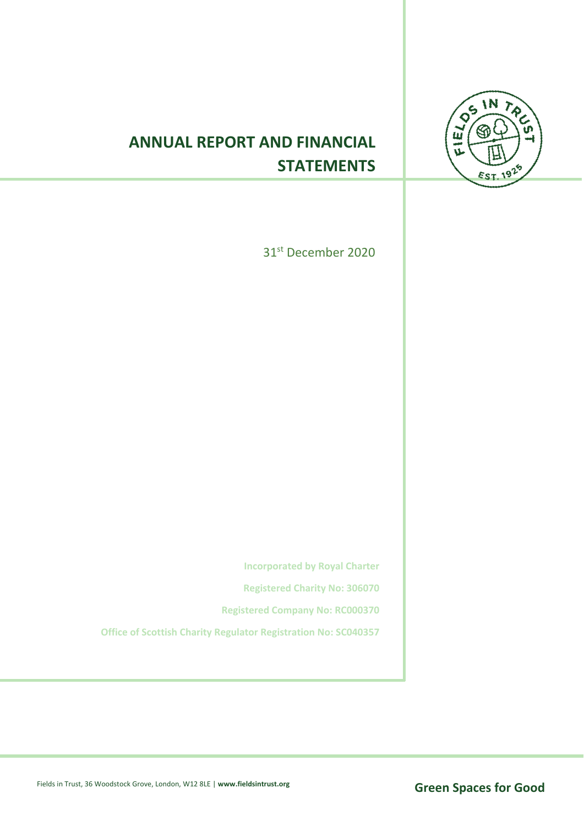

# **ANNUAL REPORT AND FINANCIAL STATEMENTS**

31st December 2020

**Incorporated by Royal Charter** 

**Registered Charity No: 306070** 

**Registered Company No: RC000370**

**Office of Scottish Charity Regulator Registration No: SC040357**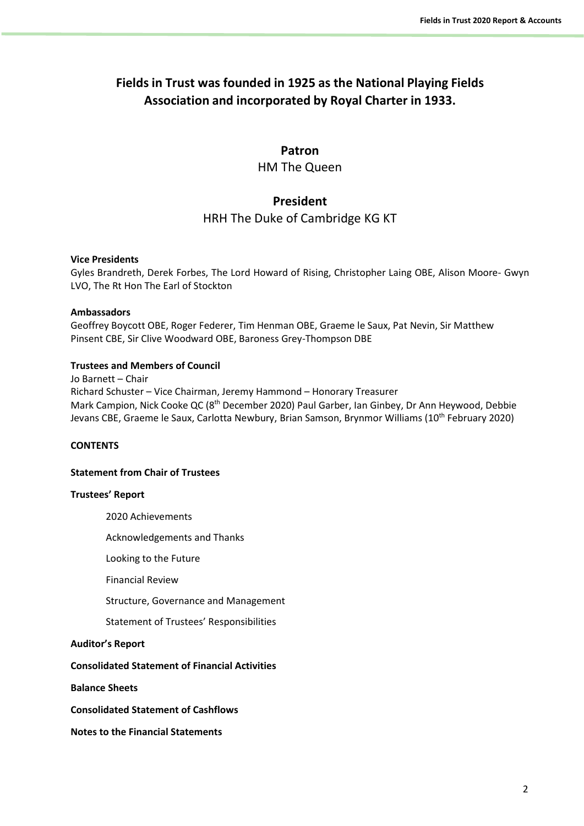# **Fields in Trust was founded in 1925 as the National Playing Fields Association and incorporated by Royal Charter in 1933.**

## **Patron**

HM The Queen

# **President**

HRH The Duke of Cambridge KG KT

### **Vice Presidents**

Gyles Brandreth, Derek Forbes, The Lord Howard of Rising, Christopher Laing OBE, Alison Moore- Gwyn LVO, The Rt Hon The Earl of Stockton

### **Ambassadors**

Geoffrey Boycott OBE, Roger Federer, Tim Henman OBE, Graeme le Saux, Pat Nevin, Sir Matthew Pinsent CBE, Sir Clive Woodward OBE, Baroness Grey-Thompson DBE

### **Trustees and Members of Council**

Jo Barnett – Chair Richard Schuster – Vice Chairman, Jeremy Hammond – Honorary Treasurer Mark Campion, Nick Cooke QC (8<sup>th</sup> December 2020) Paul Garber, Ian Ginbey, Dr Ann Heywood, Debbie Jevans CBE, Graeme le Saux, Carlotta Newbury, Brian Samson, Brynmor Williams (10<sup>th</sup> February 2020)

### **CONTENTS**

## **Statement from Chair of Trustees**

#### **Trustees' Report**

2020 Achievements

Acknowledgements and Thanks

Looking to the Future

Financial Review

Structure, Governance and Management

Statement of Trustees' Responsibilities

**Auditor's Report**

**Consolidated Statement of Financial Activities**

**Balance Sheets**

**Consolidated Statement of Cashflows**

**Notes to the Financial Statements**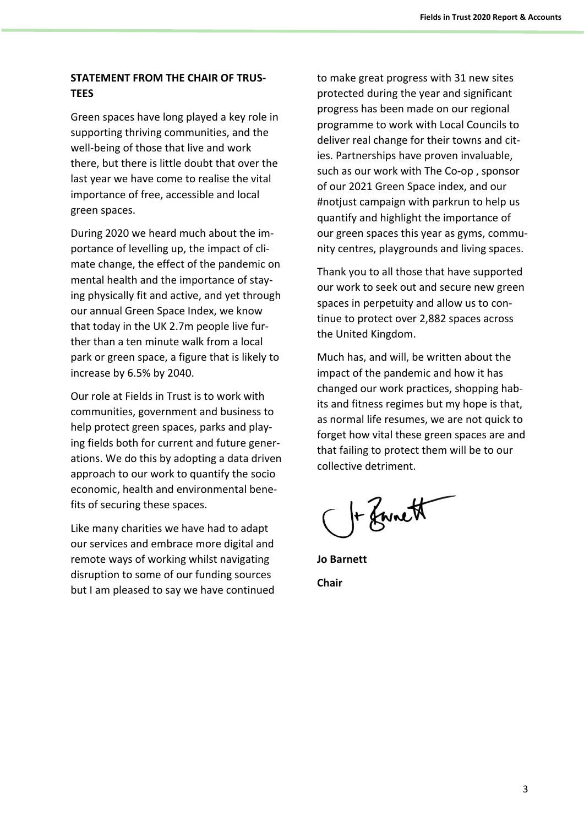# **STATEMENT FROM THE CHAIR OF TRUS-TEES**

Green spaces have long played a key role in supporting thriving communities, and the well-being of those that live and work there, but there is little doubt that over the last year we have come to realise the vital importance of free, accessible and local green spaces.

During 2020 we heard much about the importance of levelling up, the impact of climate change, the effect of the pandemic on mental health and the importance of staying physically fit and active, and yet through our annual Green Space Index, we know that today in the UK 2.7m people live further than a ten minute walk from a local park or green space, a figure that is likely to increase by 6.5% by 2040.

Our role at Fields in Trust is to work with communities, government and business to help protect green spaces, parks and playing fields both for current and future generations. We do this by adopting a data driven approach to our work to quantify the socio economic, health and environmental benefits of securing these spaces.

Like many charities we have had to adapt our services and embrace more digital and remote ways of working whilst navigating disruption to some of our funding sources but I am pleased to say we have continued to make great progress with 31 new sites protected during the year and significant progress has been made on our regional programme to work with Local Councils to deliver real change for their towns and cities. Partnerships have proven invaluable, such as our work with The Co-op , sponsor of our 2021 Green Space index, and our #notjust campaign with parkrun to help us quantify and highlight the importance of our green spaces this year as gyms, community centres, playgrounds and living spaces.

Thank you to all those that have supported our work to seek out and secure new green spaces in perpetuity and allow us to continue to protect over 2,882 spaces across the United Kingdom.

Much has, and will, be written about the impact of the pandemic and how it has changed our work practices, shopping habits and fitness regimes but my hope is that, as normal life resumes, we are not quick to forget how vital these green spaces are and that failing to protect them will be to our collective detriment.

C + Zwnett

**Jo Barnett Chair**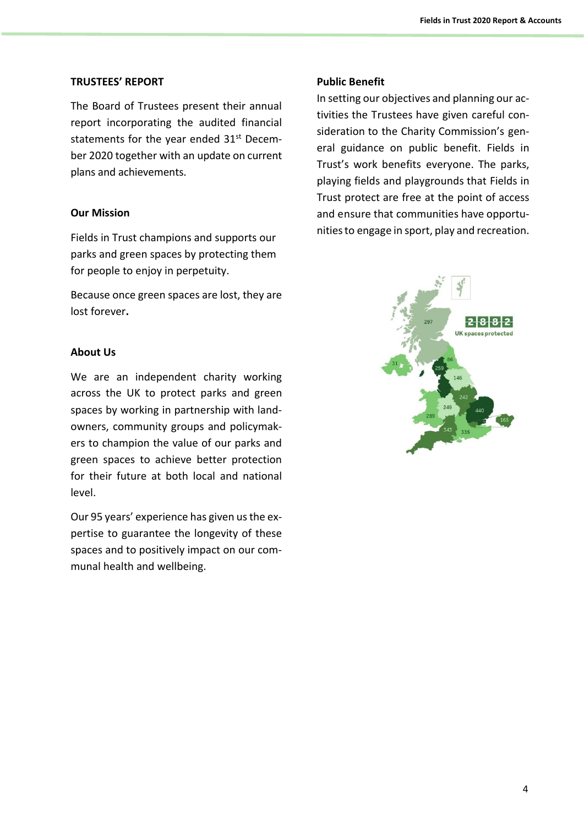## **TRUSTEES' REPORT**

The Board of Trustees present their annual report incorporating the audited financial statements for the year ended 31<sup>st</sup> December 2020 together with an update on current plans and achievements.

# **Our Mission**

Fields in Trust champions and supports our parks and green spaces by protecting them for people to enjoy in perpetuity.

Because once green spaces are lost, they are lost forever**.**

# **About Us**

We are an independent charity working across the UK to protect parks and green spaces by working in partnership with landowners, community groups and policymakers to champion the value of our parks and green spaces to achieve better protection for their future at both local and national level.

Our 95 years' experience has given us the expertise to guarantee the longevity of these spaces and to positively impact on our communal health and wellbeing.

# **Public Benefit**

In setting our objectives and planning our activities the Trustees have given careful consideration to the Charity Commission's general guidance on public benefit. Fields in Trust's work benefits everyone. The parks, playing fields and playgrounds that Fields in Trust protect are free at the point of access and ensure that communities have opportunitiesto engage in sport, play and recreation.

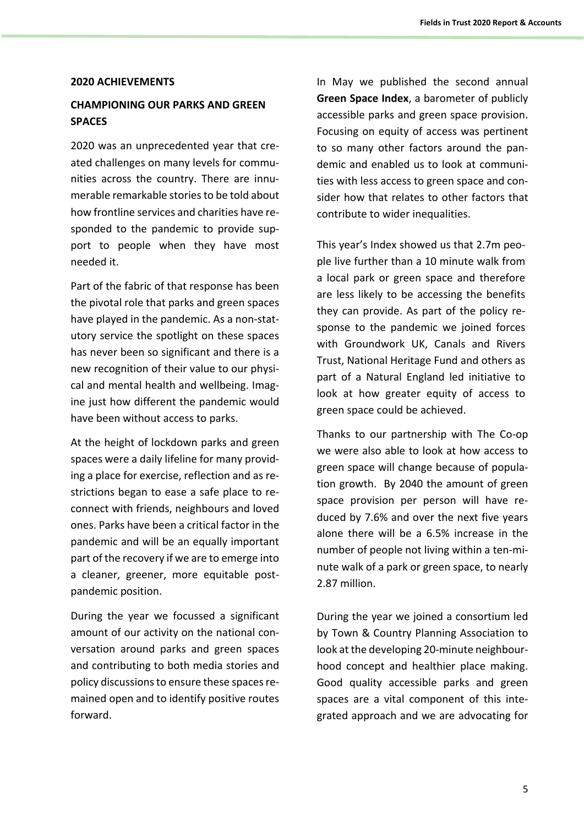### **2020 ACHIEVEMENTS**

# **CHAMPIONING OUR PARKS AND GREEN SPACES**

2020 was an unprecedented year that created challenges on many levels for communities across the country. There are innumerable remarkable stories to be told about how frontline services and charities have responded to the pandemic to provide support to people when they have most needed it.

Part of the fabric of that response has been the pivotal role that parks and green spaces have played in the pandemic. As a non-statutory service the spotlight on these spaces has never been so significant and there is a new recognition of their value to our physical and mental health and wellbeing. Imagine just how different the pandemic would have been without access to parks.

At the height of lockdown parks and green spaces were a daily lifeline for many providing a place for exercise, reflection and as restrictions began to ease a safe place to reconnect with friends, neighbours and loved ones. Parks have been a critical factor in the pandemic and will be an equally important part of the recovery if we are to emerge into a cleaner, greener, more equitable postpandemic position.

During the year we focussed a significant amount of our activity on the national conversation around parks and green spaces and contributing to both media stories and policy discussionsto ensure these spaces remained open and to identify positive routes forward.

In May we published the second annual **Green Space Index**, a barometer of publicly accessible parks and green space provision. Focusing on equity of access was pertinent to so many other factors around the pandemic and enabled us to look at communities with less access to green space and consider how that relates to other factors that contribute to wider inequalities.

This year's Index showed us that 2.7m people live further than a 10 minute walk from a local park or green space and therefore are less likely to be accessing the benefits they can provide. As part of the policy response to the pandemic we joined forces with Groundwork UK, Canals and Rivers Trust, National Heritage Fund and others as part of a Natural England led initiative to look at how greater equity of access to green space could be achieved.

Thanks to our partnership with The Co-op we were also able to look at how access to green space will change because of population growth. By 2040 the amount of green space provision per person will have reduced by 7.6% and over the next five years alone there will be a 6.5% increase in the number of people not living within a ten-minute walk of a park or green space, to nearly 2.87 million.

During the year we joined a consortium led by Town & Country Planning Association to look at the developing 20-minute neighbourhood concept and healthier place making. Good quality accessible parks and green spaces are a vital component of this integrated approach and we are advocating for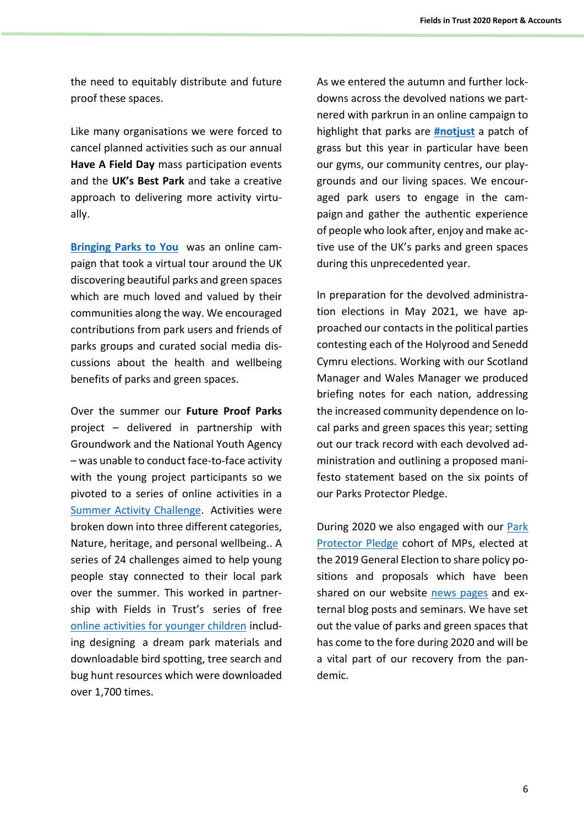the need to equitably distribute and future proof these spaces.

Like many organisations we were forced to cancel planned activities such as our annual **Have A Field Day** mass participation events and the **UK's Best Park** and take a creative approach to delivering more activity virtually.

**[Bringing Parks to You](http://www.fieldsintrust.org/bringing-parks-to-you)** was an online campaign that took a virtual tour around the UK discovering beautiful parks and green spaces which are much loved and valued by their communities along the way. We encouraged contributions from park users and friends of parks groups and curated social media discussions about the health and wellbeing benefits of parks and green spaces.

Over the summer our **Future Proof Parks** project – delivered in partnership with Groundwork and the National Youth Agency – was unable to conduct face-to-face activity with the young project participants so we pivoted to a series of online activities in a [Summer Activity Challenge.](https://www.groundwork.org.uk/fpp-news/future-proof-parks-summer-activity-challenge/) Activities were broken down into three different categories, Nature, heritage, and personal wellbeing.. A series of 24 challenges aimed to help young people stay connected to their local park over the summer. This worked in partnership with Fields in Trust's series of free [online activities for younger children](http://www.fieldsintrust.org/activities-for-kids) including designing a dream park materials and downloadable bird spotting, tree search and bug hunt resources which were downloaded over 1,700 times.

As we entered the autumn and further lockdowns across the devolved nations we partnered with parkrun in an online campaign to highlight that parks are **[#notjust](https://twitter.com/hashtag/notjust?f=live)** a patch of grass but this year in particular have been our gyms, our community centres, our playgrounds and our living spaces. We encouraged park users to engage in the campaign and gather the authentic experience of people who look after, enjoy and make active use of the UK's parks and green spaces during this unprecedented year.

In preparation for the devolved administration elections in May 2021, we have approached our contacts in the political parties contesting each of the Holyrood and Senedd Cymru elections. Working with our Scotland Manager and Wales Manager we produced briefing notes for each nation, addressing the increased community dependence on local parks and green spaces this year; setting out our track record with each devolved administration and outlining a proposed manifesto statement based on the six points of our Parks Protector Pledge.

During 2020 we also engaged with our [Park](http://www.fieldsintrust.org/pledge)  [Protector Pledge](http://www.fieldsintrust.org/pledge) cohort of MPs, elected at the 2019 General Election to share policy positions and proposals which have been shared on our website [news pages](http://www.fieldsintrust.org/news) and external blog posts and seminars. We have set out the value of parks and green spaces that has come to the fore during 2020 and will be a vital part of our recovery from the pandemic.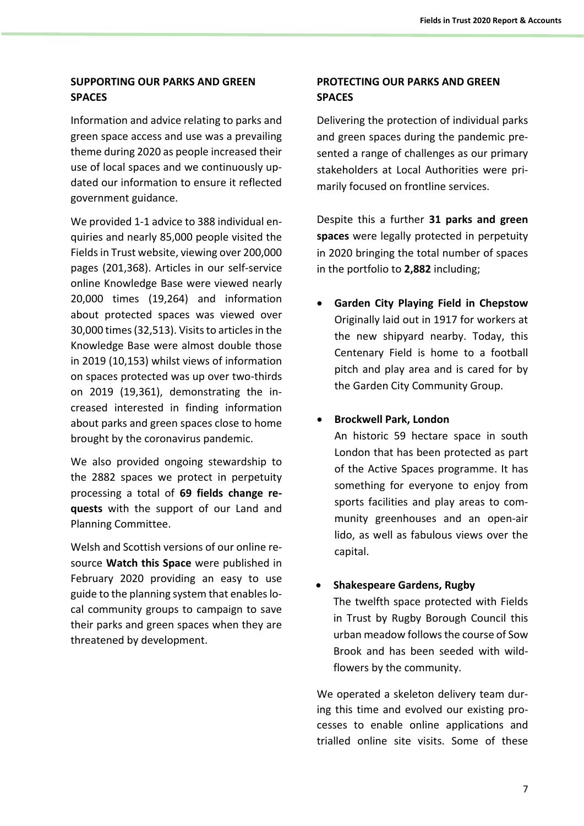# **SUPPORTING OUR PARKS AND GREEN SPACES**

Information and advice relating to parks and green space access and use was a prevailing theme during 2020 as people increased their use of local spaces and we continuously updated our information to ensure it reflected government guidance.

We provided 1-1 advice to 388 individual enquiries and nearly 85,000 people visited the Fields in Trust website, viewing over 200,000 pages (201,368). Articles in our self-service online Knowledge Base were viewed nearly 20,000 times (19,264) and information about protected spaces was viewed over 30,000 times (32,513). Visits to articles in the Knowledge Base were almost double those in 2019 (10,153) whilst views of information on spaces protected was up over two-thirds on 2019 (19,361), demonstrating the increased interested in finding information about parks and green spaces close to home brought by the coronavirus pandemic.

We also provided ongoing stewardship to the 2882 spaces we protect in perpetuity processing a total of **69 fields change requests** with the support of our Land and Planning Committee.

Welsh and Scottish versions of our online resource **Watch this Space** were published in February 2020 providing an easy to use guide to the planning system that enables local community groups to campaign to save their parks and green spaces when they are threatened by development.

# **PROTECTING OUR PARKS AND GREEN SPACES**

Delivering the protection of individual parks and green spaces during the pandemic presented a range of challenges as our primary stakeholders at Local Authorities were primarily focused on frontline services.

Despite this a further **31 parks and green spaces** were legally protected in perpetuity in 2020 bringing the total number of spaces in the portfolio to **2,882** including;

• **Garden City Playing Field in Chepstow** Originally laid out in 1917 for workers at the new shipyard nearby. Today, this Centenary Field is home to a football pitch and play area and is cared for by the Garden City Community Group.

# • **Brockwell Park, London**

An historic 59 hectare space in south London that has been protected as part of the Active Spaces programme. It has something for everyone to enjoy from sports facilities and play areas to community greenhouses and an open-air lido, as well as fabulous views over the capital.

# • **Shakespeare Gardens, Rugby**

The twelfth space protected with Fields in Trust by Rugby Borough Council this urban meadow follows the course of Sow Brook and has been seeded with wildflowers by the community.

We operated a skeleton delivery team during this time and evolved our existing processes to enable online applications and trialled online site visits. Some of these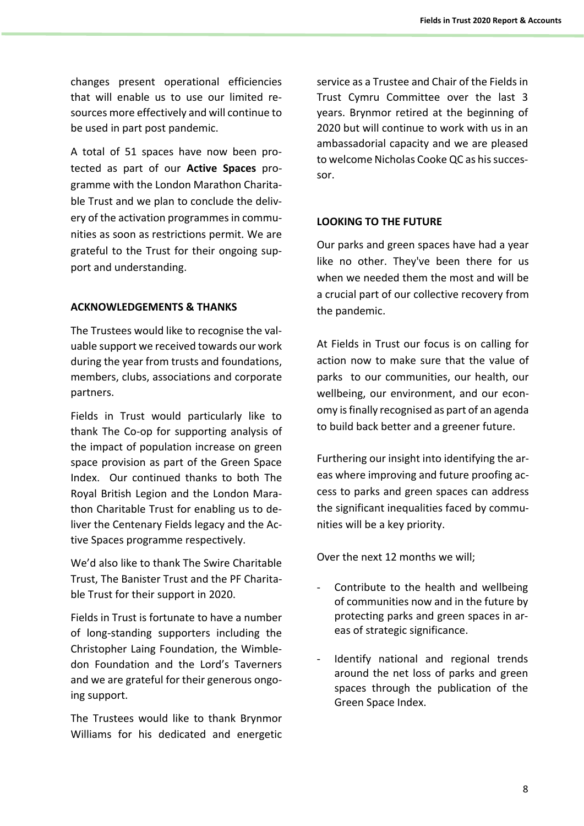changes present operational efficiencies that will enable us to use our limited resources more effectively and will continue to be used in part post pandemic.

A total of 51 spaces have now been protected as part of our **Active Spaces** programme with the London Marathon Charitable Trust and we plan to conclude the delivery of the activation programmes in communities as soon as restrictions permit. We are grateful to the Trust for their ongoing support and understanding.

# **ACKNOWLEDGEMENTS & THANKS**

The Trustees would like to recognise the valuable support we received towards our work during the year from trusts and foundations, members, clubs, associations and corporate partners.

Fields in Trust would particularly like to thank The Co-op for supporting analysis of the impact of population increase on green space provision as part of the Green Space Index. Our continued thanks to both The Royal British Legion and the London Marathon Charitable Trust for enabling us to deliver the Centenary Fields legacy and the Active Spaces programme respectively.

We'd also like to thank The Swire Charitable Trust, The Banister Trust and the PF Charitable Trust for their support in 2020.

Fields in Trust is fortunate to have a number of long-standing supporters including the Christopher Laing Foundation, the Wimbledon Foundation and the Lord's Taverners and we are grateful for their generous ongoing support.

The Trustees would like to thank Brynmor Williams for his dedicated and energetic

service as a Trustee and Chair of the Fields in Trust Cymru Committee over the last 3 years. Brynmor retired at the beginning of 2020 but will continue to work with us in an ambassadorial capacity and we are pleased to welcome Nicholas Cooke QC as his successor.

# **LOOKING TO THE FUTURE**

Our parks and green spaces have had a year like no other. They've been there for us when we needed them the most and will be a crucial part of our collective recovery from the pandemic.

At Fields in Trust our focus is on calling for action now to make sure that the value of parks to our communities, our health, our wellbeing, our environment, and our economy is finally recognised as part of an agenda to build back better and a greener future.

Furthering our insight into identifying the areas where improving and future proofing access to parks and green spaces can address the significant inequalities faced by communities will be a key priority.

Over the next 12 months we will;

- Contribute to the health and wellbeing of communities now and in the future by protecting parks and green spaces in areas of strategic significance.
- Identify national and regional trends around the net loss of parks and green spaces through the publication of the Green Space Index.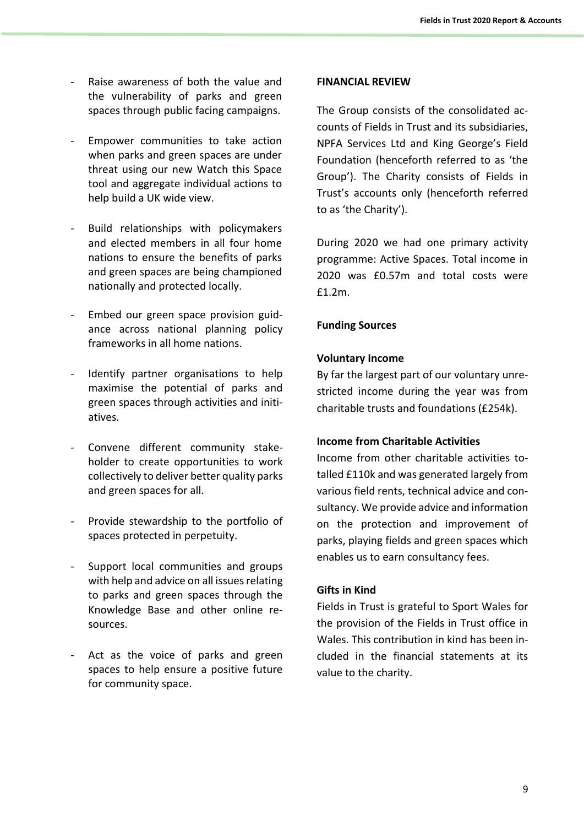- Raise awareness of both the value and the vulnerability of parks and green spaces through public facing campaigns.
- Empower communities to take action when parks and green spaces are under threat using our new Watch this Space tool and aggregate individual actions to help build a UK wide view.
- Build relationships with policymakers and elected members in all four home nations to ensure the benefits of parks and green spaces are being championed nationally and protected locally.
- Embed our green space provision guidance across national planning policy frameworks in all home nations.
- Identify partner organisations to help maximise the potential of parks and green spaces through activities and initiatives.
- Convene different community stakeholder to create opportunities to work collectively to deliver better quality parks and green spaces for all.
- Provide stewardship to the portfolio of spaces protected in perpetuity.
- Support local communities and groups with help and advice on all issues relating to parks and green spaces through the Knowledge Base and other online resources.
- Act as the voice of parks and green spaces to help ensure a positive future for community space.

# **FINANCIAL REVIEW**

The Group consists of the consolidated accounts of Fields in Trust and its subsidiaries, NPFA Services Ltd and King George's Field Foundation (henceforth referred to as 'the Group'). The Charity consists of Fields in Trust's accounts only (henceforth referred to as 'the Charity').

During 2020 we had one primary activity programme: Active Spaces. Total income in 2020 was £0.57m and total costs were £1.2m.

# **Funding Sources**

# **Voluntary Income**

By far the largest part of our voluntary unrestricted income during the year was from charitable trusts and foundations (£254k).

# **Income from Charitable Activities**

Income from other charitable activities totalled £110k and was generated largely from various field rents, technical advice and consultancy. We provide advice and information on the protection and improvement of parks, playing fields and green spaces which enables us to earn consultancy fees.

# **Gifts in Kind**

Fields in Trust is grateful to Sport Wales for the provision of the Fields in Trust office in Wales. This contribution in kind has been included in the financial statements at its value to the charity.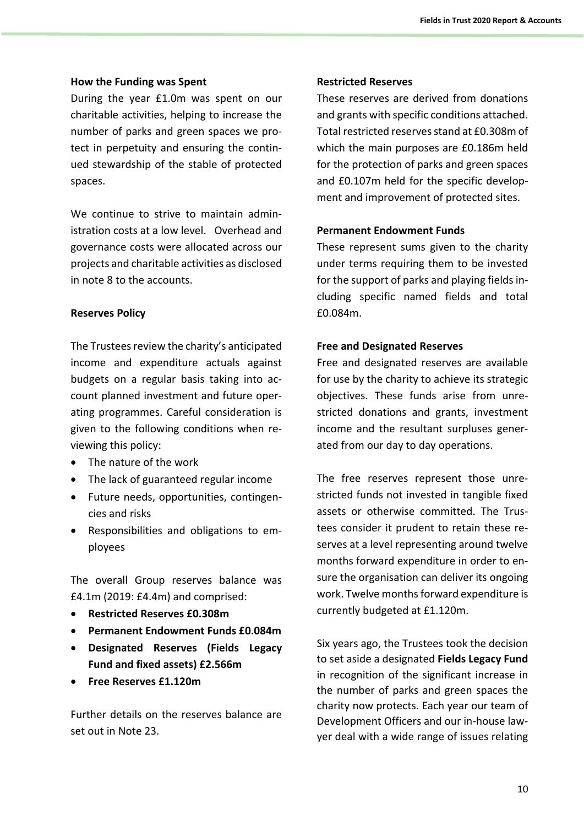## **How the Funding was Spent**

During the year £1.0m was spent on our charitable activities, helping to increase the number of parks and green spaces we protect in perpetuity and ensuring the continued stewardship of the stable of protected spaces.

We continue to strive to maintain administration costs at a low level. Overhead and governance costs were allocated across our projects and charitable activities as disclosed in note 8 to the accounts.

# **Reserves Policy**

The Trustees review the charity's anticipated income and expenditure actuals against budgets on a regular basis taking into account planned investment and future operating programmes. Careful consideration is given to the following conditions when reviewing this policy:

- The nature of the work
- The lack of guaranteed regular income
- Future needs, opportunities, contingencies and risks
- Responsibilities and obligations to employees

The overall Group reserves balance was £4.1m (2019: £4.4m) and comprised:

- **Restricted Reserves £0.308m**
- **Permanent Endowment Funds £0.084m**
- **Designated Reserves (Fields Legacy Fund and fixed assets) £2.566m**
- **Free Reserves £1.120m**

Further details on the reserves balance are set out in Note 23.

## **Restricted Reserves**

These reserves are derived from donations and grants with specific conditions attached. Total restricted reserves stand at £0.308m of which the main purposes are £0.186m held for the protection of parks and green spaces and £0.107m held for the specific development and improvement of protected sites.

# **Permanent Endowment Funds**

These represent sums given to the charity under terms requiring them to be invested for the support of parks and playing fields including specific named fields and total £0.084m.

# **Free and Designated Reserves**

Free and designated reserves are available for use by the charity to achieve its strategic objectives. These funds arise from unrestricted donations and grants, investment income and the resultant surpluses generated from our day to day operations.

The free reserves represent those unrestricted funds not invested in tangible fixed assets or otherwise committed. The Trustees consider it prudent to retain these reserves at a level representing around twelve months forward expenditure in order to ensure the organisation can deliver its ongoing work. Twelve months forward expenditure is currently budgeted at £1.120m.

Six years ago, the Trustees took the decision to set aside a designated **Fields Legacy Fund**  in recognition of the significant increase in the number of parks and green spaces the charity now protects. Each year our team of Development Officers and our in-house lawyer deal with a wide range of issues relating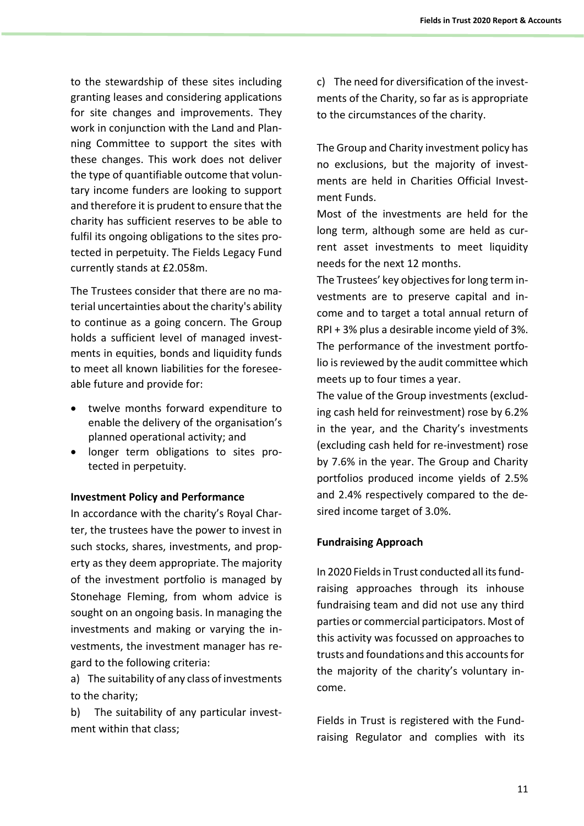to the stewardship of these sites including granting leases and considering applications for site changes and improvements. They work in conjunction with the Land and Planning Committee to support the sites with these changes. This work does not deliver the type of quantifiable outcome that voluntary income funders are looking to support and therefore it is prudent to ensure that the charity has sufficient reserves to be able to fulfil its ongoing obligations to the sites protected in perpetuity. The Fields Legacy Fund currently stands at £2.058m.

The Trustees consider that there are no material uncertainties about the charity's ability to continue as a going concern. The Group holds a sufficient level of managed investments in equities, bonds and liquidity funds to meet all known liabilities for the foreseeable future and provide for:

- twelve months forward expenditure to enable the delivery of the organisation's planned operational activity; and
- longer term obligations to sites protected in perpetuity.

# **Investment Policy and Performance**

In accordance with the charity's Royal Charter, the trustees have the power to invest in such stocks, shares, investments, and property as they deem appropriate. The majority of the investment portfolio is managed by Stonehage Fleming, from whom advice is sought on an ongoing basis. In managing the investments and making or varying the investments, the investment manager has regard to the following criteria:

a) The suitability of any class of investments to the charity;

b) The suitability of any particular investment within that class;

c) The need for diversification of the investments of the Charity, so far as is appropriate to the circumstances of the charity.

The Group and Charity investment policy has no exclusions, but the majority of investments are held in Charities Official Investment Funds.

Most of the investments are held for the long term, although some are held as current asset investments to meet liquidity needs for the next 12 months.

The Trustees' key objectives for long term investments are to preserve capital and income and to target a total annual return of RPI + 3% plus a desirable income yield of 3%. The performance of the investment portfolio is reviewed by the audit committee which meets up to four times a year.

The value of the Group investments (excluding cash held for reinvestment) rose by 6.2% in the year, and the Charity's investments (excluding cash held for re-investment) rose by 7.6% in the year. The Group and Charity portfolios produced income yields of 2.5% and 2.4% respectively compared to the desired income target of 3.0%.

# **Fundraising Approach**

In 2020 Fields in Trust conducted all its fundraising approaches through its inhouse fundraising team and did not use any third parties or commercial participators. Most of this activity was focussed on approaches to trusts and foundations and this accountsfor the majority of the charity's voluntary income.

Fields in Trust is registered with the Fundraising Regulator and complies with its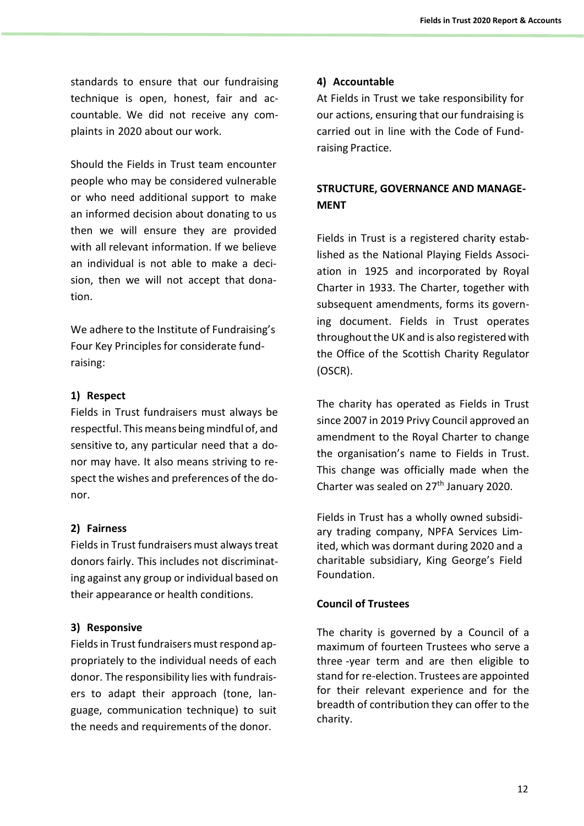standards to ensure that our fundraising technique is open, honest, fair and accountable. We did not receive any complaints in 2020 about our work.

Should the Fields in Trust team encounter people who may be considered vulnerable or who need additional support to make an informed decision about donating to us then we will ensure they are provided with all relevant information. If we believe an individual is not able to make a decision, then we will not accept that donation.

We adhere to the Institute of Fundraising's Four Key Principlesfor considerate fundraising:

# **1) Respect**

Fields in Trust fundraisers must always be respectful. This means being mindful of, and sensitive to, any particular need that a donor may have. It also means striving to respect the wishes and preferences of the donor.

# **2) Fairness**

Fieldsin Trust fundraisers must alwaystreat donors fairly. This includes not discriminating against any group or individual based on their appearance or health conditions.

# **3) Responsive**

Fields in Trust fundraisers must respond appropriately to the individual needs of each donor. The responsibility lies with fundraisers to adapt their approach (tone, language, communication technique) to suit the needs and requirements of the donor.

# **4) Accountable**

At Fields in Trust we take responsibility for our actions, ensuring that our fundraising is carried out in line with the Code of Fundraising Practice.

# **STRUCTURE, GOVERNANCE AND MANAGE-MENT**

Fields in Trust is a registered charity established as the National Playing Fields Association in 1925 and incorporated by Royal Charter in 1933. The Charter, together with subsequent amendments, forms its governing document. Fields in Trust operates throughout the UK and is also registered with the Office of the Scottish Charity Regulator (OSCR).

The charity has operated as Fields in Trust since 2007 in 2019 Privy Council approved an amendment to the Royal Charter to change the organisation's name to Fields in Trust. This change was officially made when the Charter was sealed on 27<sup>th</sup> January 2020.

Fields in Trust has a wholly owned subsidiary trading company, NPFA Services Limited, which was dormant during 2020 and a charitable subsidiary, King George's Field Foundation.

# **Council of Trustees**

The charity is governed by a Council of a maximum of fourteen Trustees who serve a three -year term and are then eligible to stand for re-election. Trustees are appointed for their relevant experience and for the breadth of contribution they can offer to the charity.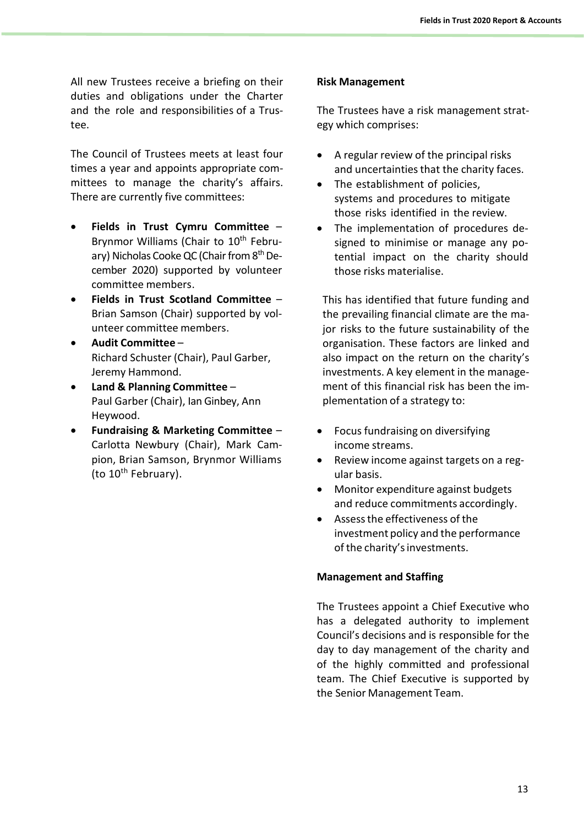All new Trustees receive a briefing on their duties and obligations under the Charter and the role and responsibilities of a Trustee.

The Council of Trustees meets at least four times a year and appoints appropriate committees to manage the charity's affairs. There are currently five committees:

- **Fields in Trust Cymru Committee** Brynmor Williams (Chair to 10<sup>th</sup> February) Nicholas Cooke QC (Chair from 8<sup>th</sup> December 2020) supported by volunteer committee members.
- **Fields in Trust Scotland Committee** Brian Samson (Chair) supported by volunteer committee members.
- **Audit Committee** Richard Schuster (Chair), Paul Garber, Jeremy Hammond.
- **Land & Planning Committee** Paul Garber (Chair), Ian Ginbey, Ann Heywood.
- **Fundraising & Marketing Committee** Carlotta Newbury (Chair), Mark Campion, Brian Samson, Brynmor Williams (to 10th February).

# **Risk Management**

The Trustees have a risk management strategy which comprises:

- A regular review of the principal risks and uncertainties that the charity faces.
- The establishment of policies, systems and procedures to mitigate those risks identified in the review.
- The implementation of procedures designed to minimise or manage any potential impact on the charity should those risks materialise.

This has identified that future funding and the prevailing financial climate are the major risks to the future sustainability of the organisation. These factors are linked and also impact on the return on the charity's investments. A key element in the management of this financial risk has been the implementation of a strategy to:

- Focus fundraising on diversifying income streams.
- Review income against targets on a regular basis.
- Monitor expenditure against budgets and reduce commitments accordingly.
- Assess the effectiveness of the investment policy and the performance of the charity'sinvestments.

# **Management and Staffing**

The Trustees appoint a Chief Executive who has a delegated authority to implement Council's decisions and is responsible for the day to day management of the charity and of the highly committed and professional team. The Chief Executive is supported by the Senior Management Team.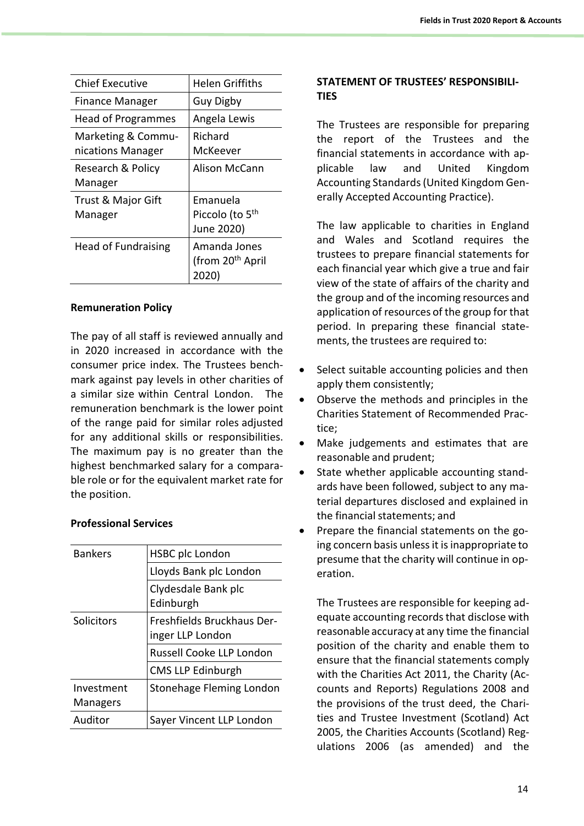| Chief Executive                         | Helen Griffiths                                       |
|-----------------------------------------|-------------------------------------------------------|
| Finance Manager                         | Guy Digby                                             |
| <b>Head of Programmes</b>               | Angela Lewis                                          |
| Marketing & Commu-<br>nications Manager | Richard<br>McKeever                                   |
| Research & Policy<br>Manager            | Alison McCann                                         |
| Trust & Major Gift<br>Manager           | Emanuela<br>Piccolo (to 5 <sup>th</sup><br>June 2020) |
| <b>Head of Fundraising</b>              | Amanda Jones<br>(from 20 <sup>th</sup> April<br>2020) |

# **Remuneration Policy**

The pay of all staff is reviewed annually and in 2020 increased in accordance with the consumer price index. The Trustees benchmark against pay levels in other charities of a similar size within Central London. The remuneration benchmark is the lower point of the range paid for similar roles adjusted for any additional skills or responsibilities. The maximum pay is no greater than the highest benchmarked salary for a comparable role or for the equivalent market rate for the position.

# **Professional Services**

| <b>Bankers</b>         | <b>HSBC plc London</b>                         |  |  |  |
|------------------------|------------------------------------------------|--|--|--|
|                        | Lloyds Bank plc London                         |  |  |  |
|                        | Clydesdale Bank plc<br>Edinburgh               |  |  |  |
|                        |                                                |  |  |  |
| Solicitors             | Freshfields Bruckhaus Der-<br>inger LLP London |  |  |  |
|                        | Russell Cooke LLP London                       |  |  |  |
|                        | <b>CMS LLP Edinburgh</b>                       |  |  |  |
| Investment<br>Managers | Stonehage Fleming London                       |  |  |  |
| Auditor                | Sayer Vincent LLP London                       |  |  |  |
|                        |                                                |  |  |  |

# **STATEMENT OF TRUSTEES' RESPONSIBILI-TIES**

The Trustees are responsible for preparing the report of the Trustees and the financial statements in accordance with applicable law and United Kingdom Accounting Standards(United Kingdom Generally Accepted Accounting Practice).

The law applicable to charities in England and Wales and Scotland requires the trustees to prepare financial statements for each financial year which give a true and fair view of the state of affairs of the charity and the group and of the incoming resources and application of resources of the group for that period. In preparing these financial statements, the trustees are required to:

- Select suitable accounting policies and then apply them consistently;
- Observe the methods and principles in the Charities Statement of Recommended Practice;
- Make judgements and estimates that are reasonable and prudent;
- State whether applicable accounting standards have been followed, subject to any material departures disclosed and explained in the financial statements; and
- Prepare the financial statements on the going concern basis unlessit is inappropriate to presume that the charity will continue in operation.

The Trustees are responsible for keeping adequate accounting records that disclose with reasonable accuracy at any time the financial position of the charity and enable them to ensure that the financial statements comply with the Charities Act 2011, the Charity (Accounts and Reports) Regulations 2008 and the provisions of the trust deed, the Charities and Trustee Investment (Scotland) Act 2005, the Charities Accounts (Scotland) Regulations 2006 (as amended) and the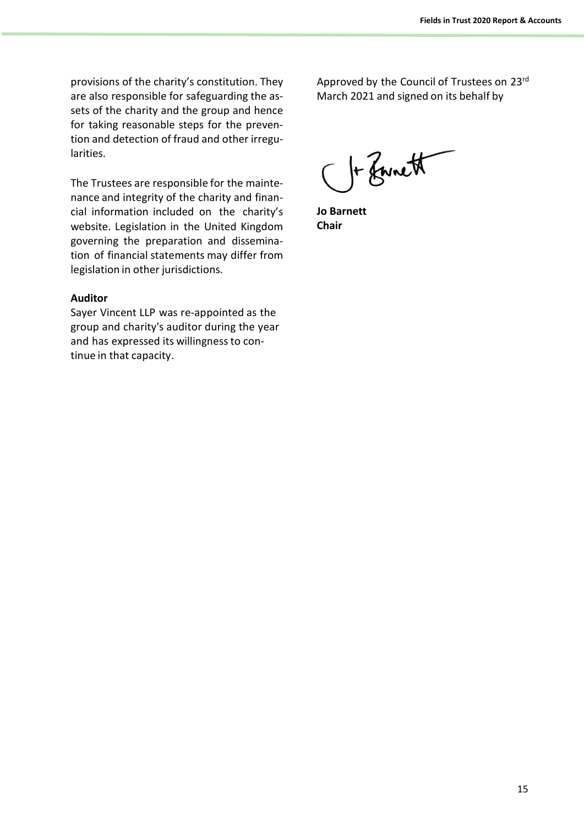provisions of the charity's constitution. They are also responsible for safeguarding the assets of the charity and the group and hence for taking reasonable steps for the prevention and detection of fraud and other irregularities.

The Trustees are responsible for the maintenance and integrity of the charity and financial information included on the charity's website. Legislation in the United Kingdom governing the preparation and dissemination of financial statements may differ from legislation in other jurisdictions.

# **Auditor**

Sayer Vincent LLP was re-appointed as the group and charity's auditor during the year and has expressed its willingnessto continue in that capacity.

Approved by the Council of Trustees on 23rd March 2021 and signed on its behalf by

Or Zwnett

**Jo Barnett Chair**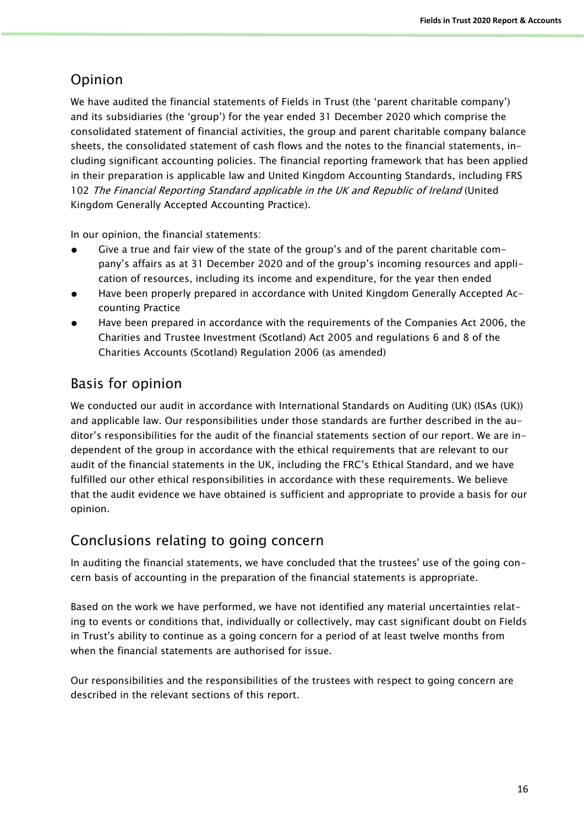# Opinion

We have audited the financial statements of Fields in Trust (the 'parent charitable company') and its subsidiaries (the 'group') for the year ended 31 December 2020 which comprise the consolidated statement of financial activities, the group and parent charitable company balance sheets, the consolidated statement of cash flows and the notes to the financial statements, including significant accounting policies. The financial reporting framework that has been applied in their preparation is applicable law and United Kingdom Accounting Standards, including FRS 102 The Financial Reporting Standard applicable in the UK and Republic of Ireland (United Kingdom Generally Accepted Accounting Practice).

In our opinion, the financial statements:

- Give a true and fair view of the state of the group's and of the parent charitable company's affairs as at 31 December 2020 and of the group's incoming resources and application of resources, including its income and expenditure, for the year then ended
- Have been properly prepared in accordance with United Kingdom Generally Accepted Accounting Practice
- Have been prepared in accordance with the requirements of the Companies Act 2006, the Charities and Trustee Investment (Scotland) Act 2005 and regulations 6 and 8 of the Charities Accounts (Scotland) Regulation 2006 (as amended)

# Basis for opinion

We conducted our audit in accordance with International Standards on Auditing (UK) (ISAs (UK)) and applicable law. Our responsibilities under those standards are further described in the auditor's responsibilities for the audit of the financial statements section of our report. We are independent of the group in accordance with the ethical requirements that are relevant to our audit of the financial statements in the UK, including the FRC's Ethical Standard, and we have fulfilled our other ethical responsibilities in accordance with these requirements. We believe that the audit evidence we have obtained is sufficient and appropriate to provide a basis for our opinion.

# Conclusions relating to going concern

In auditing the financial statements, we have concluded that the trustees' use of the going concern basis of accounting in the preparation of the financial statements is appropriate.

Based on the work we have performed, we have not identified any material uncertainties relating to events or conditions that, individually or collectively, may cast significant doubt on Fields in Trust's ability to continue as a going concern for a period of at least twelve months from when the financial statements are authorised for issue.

Our responsibilities and the responsibilities of the trustees with respect to going concern are described in the relevant sections of this report.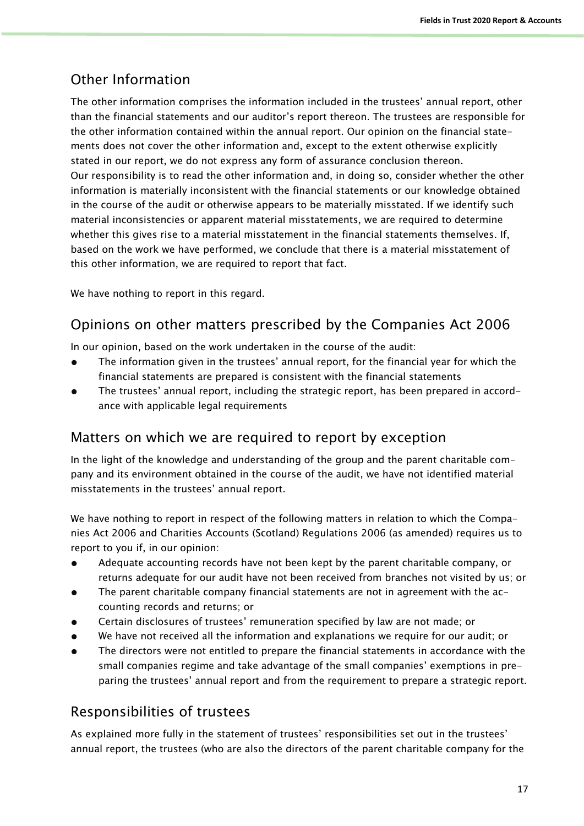# Other Information

The other information comprises the information included in the trustees' annual report, other than the financial statements and our auditor's report thereon. The trustees are responsible for the other information contained within the annual report. Our opinion on the financial statements does not cover the other information and, except to the extent otherwise explicitly stated in our report, we do not express any form of assurance conclusion thereon. Our responsibility is to read the other information and, in doing so, consider whether the other information is materially inconsistent with the financial statements or our knowledge obtained in the course of the audit or otherwise appears to be materially misstated. If we identify such material inconsistencies or apparent material misstatements, we are required to determine whether this gives rise to a material misstatement in the financial statements themselves. If, based on the work we have performed, we conclude that there is a material misstatement of this other information, we are required to report that fact.

We have nothing to report in this regard.

# Opinions on other matters prescribed by the Companies Act 2006

In our opinion, based on the work undertaken in the course of the audit:

- The information given in the trustees' annual report, for the financial year for which the financial statements are prepared is consistent with the financial statements
- The trustees' annual report, including the strategic report, has been prepared in accordance with applicable legal requirements

# Matters on which we are required to report by exception

In the light of the knowledge and understanding of the group and the parent charitable company and its environment obtained in the course of the audit, we have not identified material misstatements in the trustees' annual report.

We have nothing to report in respect of the following matters in relation to which the Companies Act 2006 and Charities Accounts (Scotland) Regulations 2006 (as amended) requires us to report to you if, in our opinion:

- Adequate accounting records have not been kept by the parent charitable company, or returns adequate for our audit have not been received from branches not visited by us; or
- The parent charitable company financial statements are not in agreement with the  $ac$ counting records and returns; or
- Certain disclosures of trustees' remuneration specified by law are not made; or
- We have not received all the information and explanations we require for our audit; or
- The directors were not entitled to prepare the financial statements in accordance with the small companies regime and take advantage of the small companies' exemptions in preparing the trustees' annual report and from the requirement to prepare a strategic report.

# Responsibilities of trustees

As explained more fully in the statement of trustees' responsibilities set out in the trustees' annual report, the trustees (who are also the directors of the parent charitable company for the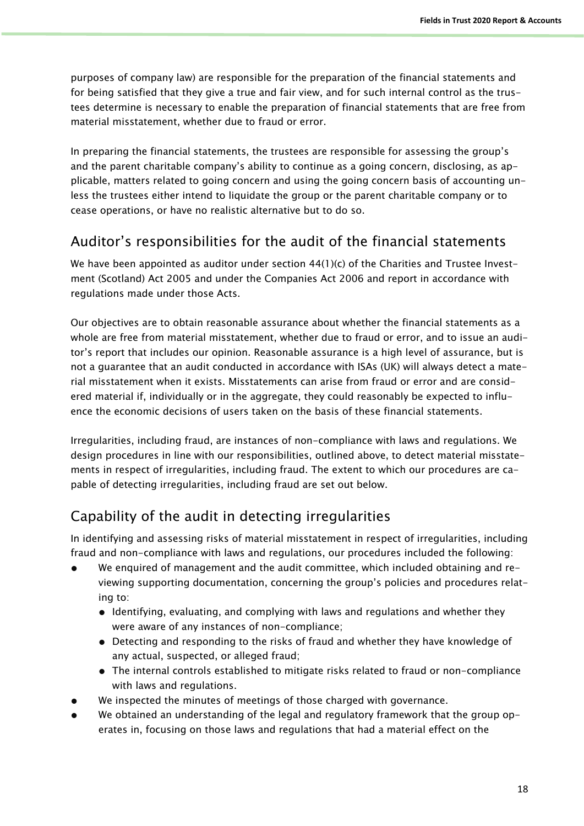purposes of company law) are responsible for the preparation of the financial statements and for being satisfied that they give a true and fair view, and for such internal control as the trustees determine is necessary to enable the preparation of financial statements that are free from material misstatement, whether due to fraud or error.

In preparing the financial statements, the trustees are responsible for assessing the group's and the parent charitable company's ability to continue as a going concern, disclosing, as applicable, matters related to going concern and using the going concern basis of accounting unless the trustees either intend to liquidate the group or the parent charitable company or to cease operations, or have no realistic alternative but to do so.

# Auditor's responsibilities for the audit of the financial statements

We have been appointed as auditor under section 44(1)(c) of the Charities and Trustee Investment (Scotland) Act 2005 and under the Companies Act 2006 and report in accordance with regulations made under those Acts.

Our objectives are to obtain reasonable assurance about whether the financial statements as a whole are free from material misstatement, whether due to fraud or error, and to issue an auditor's report that includes our opinion. Reasonable assurance is a high level of assurance, but is not a guarantee that an audit conducted in accordance with ISAs (UK) will always detect a material misstatement when it exists. Misstatements can arise from fraud or error and are considered material if, individually or in the aggregate, they could reasonably be expected to influence the economic decisions of users taken on the basis of these financial statements.

Irregularities, including fraud, are instances of non-compliance with laws and regulations. We design procedures in line with our responsibilities, outlined above, to detect material misstatements in respect of irregularities, including fraud. The extent to which our procedures are capable of detecting irregularities, including fraud are set out below.

# Capability of the audit in detecting irregularities

In identifying and assessing risks of material misstatement in respect of irregularities, including fraud and non-compliance with laws and regulations, our procedures included the following:

- We enquired of management and the audit committee, which included obtaining and reviewing supporting documentation, concerning the group's policies and procedures relating to:
	- Identifying, evaluating, and complying with laws and regulations and whether they were aware of any instances of non-compliance;
	- Detecting and responding to the risks of fraud and whether they have knowledge of any actual, suspected, or alleged fraud;
	- The internal controls established to mitigate risks related to fraud or non-compliance with laws and regulations.
- We inspected the minutes of meetings of those charged with governance.
- We obtained an understanding of the legal and regulatory framework that the group operates in, focusing on those laws and regulations that had a material effect on the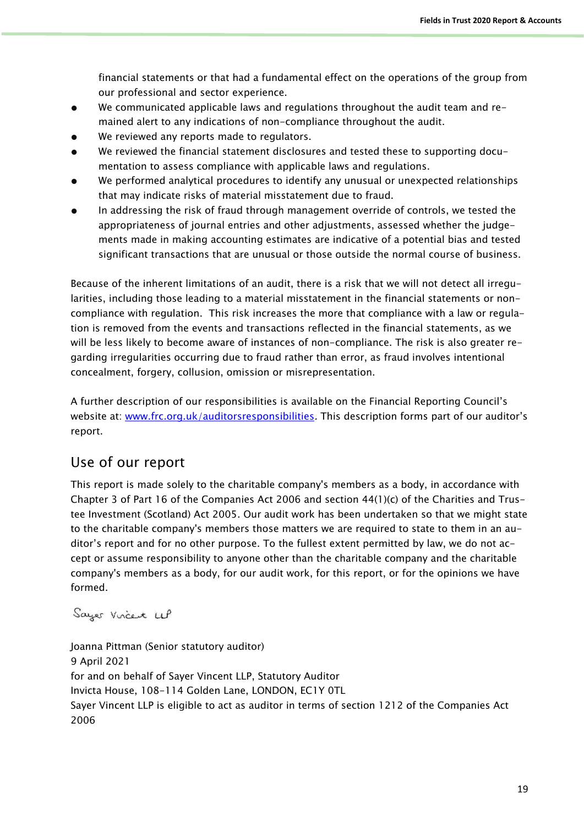financial statements or that had a fundamental effect on the operations of the group from our professional and sector experience.

- We communicated applicable laws and regulations throughout the audit team and remained alert to any indications of non-compliance throughout the audit.
- We reviewed any reports made to regulators.
- We reviewed the financial statement disclosures and tested these to supporting documentation to assess compliance with applicable laws and regulations.
- We performed analytical procedures to identify any unusual or unexpected relationships that may indicate risks of material misstatement due to fraud.
- In addressing the risk of fraud through management override of controls, we tested the appropriateness of journal entries and other adjustments, assessed whether the judgements made in making accounting estimates are indicative of a potential bias and tested significant transactions that are unusual or those outside the normal course of business.

Because of the inherent limitations of an audit, there is a risk that we will not detect all irregularities, including those leading to a material misstatement in the financial statements or noncompliance with regulation. This risk increases the more that compliance with a law or regulation is removed from the events and transactions reflected in the financial statements, as we will be less likely to become aware of instances of non-compliance. The risk is also greater regarding irregularities occurring due to fraud rather than error, as fraud involves intentional concealment, forgery, collusion, omission or misrepresentation.

A further description of our responsibilities is available on the Financial Reporting Council's website at: [www.frc.org.uk/auditorsresponsibilities](http://www.frc.org.uk/auditorsresponsibilities). This description forms part of our auditor's report.

# Use of our report

This report is made solely to the charitable company's members as a body, in accordance with Chapter 3 of Part 16 of the Companies Act 2006 and section 44(1)(c) of the Charities and Trustee Investment (Scotland) Act 2005. Our audit work has been undertaken so that we might state to the charitable company's members those matters we are required to state to them in an auditor's report and for no other purpose. To the fullest extent permitted by law, we do not accept or assume responsibility to anyone other than the charitable company and the charitable company's members as a body, for our audit work, for this report, or for the opinions we have formed.

Sayer Vircent LUP

Joanna Pittman (Senior statutory auditor) 9 April 2021 for and on behalf of Sayer Vincent LLP, Statutory Auditor Invicta House, 108-114 Golden Lane, LONDON, EC1Y 0TL Sayer Vincent LLP is eligible to act as auditor in terms of section 1212 of the Companies Act 2006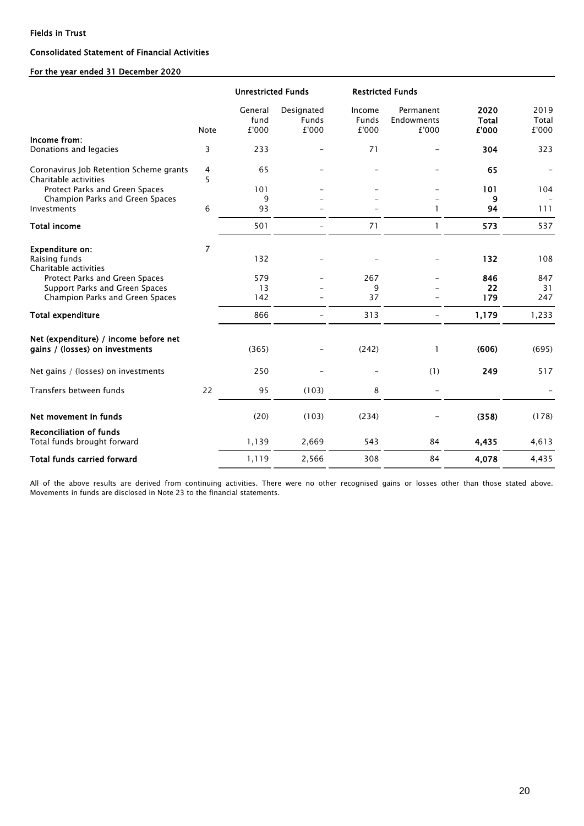#### Consolidated Statement of Financial Activities

### For the year ended 31 December 2020

|                                                                          |                | <b>Unrestricted Funds</b> |                                     |                                 | <b>Restricted Funds</b>          |                               |                        |
|--------------------------------------------------------------------------|----------------|---------------------------|-------------------------------------|---------------------------------|----------------------------------|-------------------------------|------------------------|
|                                                                          | <b>Note</b>    | General<br>fund<br>£'000  | Designated<br><b>Funds</b><br>£'000 | Income<br><b>Funds</b><br>£'000 | Permanent<br>Endowments<br>£'000 | 2020<br><b>Total</b><br>£'000 | 2019<br>Total<br>£'000 |
| Income from:<br>Donations and legacies                                   | 3              | 233                       |                                     | 71                              |                                  | 304                           | 323                    |
| Coronavirus Job Retention Scheme grants<br>Charitable activities         | 4<br>5         | 65                        |                                     |                                 |                                  | 65                            |                        |
| Protect Parks and Green Spaces                                           |                | 101                       |                                     |                                 |                                  | 101                           | 104                    |
| Champion Parks and Green Spaces                                          |                | 9                         |                                     |                                 |                                  | 9                             |                        |
| Investments                                                              | 6              | 93                        |                                     |                                 | 1                                | 94                            | 111                    |
| <b>Total income</b>                                                      |                | 501                       |                                     | 71                              |                                  | 573                           | 537                    |
| <b>Expenditure on:</b><br>Raising funds<br>Charitable activities         | $\overline{7}$ | 132                       |                                     |                                 |                                  | 132                           | 108                    |
| Protect Parks and Green Spaces                                           |                | 579                       |                                     | 267                             |                                  | 846                           | 847                    |
| Support Parks and Green Spaces                                           |                | 13                        |                                     | 9                               |                                  | 22                            | 31                     |
| Champion Parks and Green Spaces                                          |                | 142                       |                                     | 37                              |                                  | 179                           | 247                    |
| <b>Total expenditure</b>                                                 |                | 866                       |                                     | 313                             |                                  | 1,179                         | 1,233                  |
| Net (expenditure) / income before net<br>gains / (losses) on investments |                | (365)                     |                                     | (242)                           | 1                                | (606)                         | (695)                  |
| Net gains / (losses) on investments                                      |                | 250                       |                                     |                                 | (1)                              | 249                           | 517                    |
| Transfers between funds                                                  | 22             | 95                        | (103)                               | 8                               |                                  |                               |                        |
| Net movement in funds                                                    |                | (20)                      | (103)                               | (234)                           |                                  | (358)                         | (178)                  |
| <b>Reconciliation of funds</b><br>Total funds brought forward            |                | 1,139                     | 2,669                               | 543                             | 84                               | 4,435                         | 4,613                  |
| <b>Total funds carried forward</b>                                       |                | 1,119                     | 2,566                               | 308                             | 84                               | 4,078                         | 4,435                  |

All of the above results are derived from continuing activities. There were no other recognised gains or losses other than those stated above. Movements in funds are disclosed in Note 23 to the financial statements.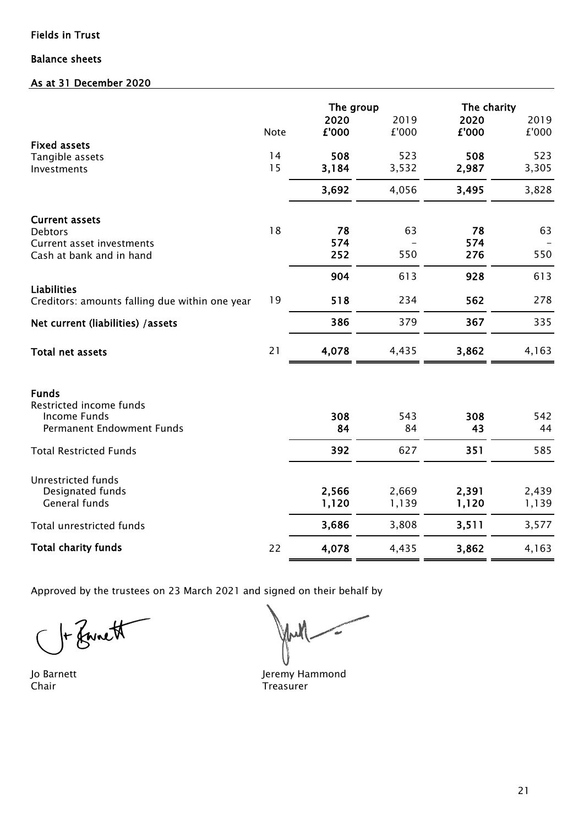# Balance sheets

# As at 31 December 2020

|                                                       |             | The group     |               |               | The charity |
|-------------------------------------------------------|-------------|---------------|---------------|---------------|-------------|
|                                                       |             | 2020<br>£'000 | 2019<br>£'000 | 2020<br>£'000 | 2019        |
| <b>Fixed assets</b>                                   | <b>Note</b> |               |               |               | £'000       |
| Tangible assets                                       | 14          | 508           | 523           | 508           | 523         |
| Investments                                           | 15          | 3,184         | 3,532         | 2,987         | 3,305       |
|                                                       |             | 3,692         | 4,056         | 3,495         | 3,828       |
| <b>Current assets</b>                                 |             |               |               |               |             |
| <b>Debtors</b>                                        | 18          | 78            | 63            | 78            | 63          |
| Current asset investments<br>Cash at bank and in hand |             | 574<br>252    | 550           | 574<br>276    | 550         |
|                                                       |             |               |               |               |             |
| <b>Liabilities</b>                                    |             | 904           | 613           | 928           | 613         |
| Creditors: amounts falling due within one year        | 19          | 518           | 234           | 562           | 278         |
| Net current (liabilities) / assets                    |             | 386           | 379           | 367           | 335         |
| <b>Total net assets</b>                               | 21          | 4,078         | 4,435         | 3,862         | 4,163       |
| <b>Funds</b>                                          |             |               |               |               |             |
| Restricted income funds                               |             |               |               |               |             |
| Income Funds<br><b>Permanent Endowment Funds</b>      |             | 308<br>84     | 543<br>84     | 308<br>43     | 542<br>44   |
|                                                       |             |               |               |               |             |
| <b>Total Restricted Funds</b>                         |             | 392           | 627           | 351           | 585         |
| <b>Unrestricted funds</b>                             |             |               |               |               |             |
| Designated funds                                      |             | 2,566         | 2,669         | 2,391         | 2,439       |
| <b>General funds</b>                                  |             | 1,120         | 1,139         | 1,120         | 1,139       |
| Total unrestricted funds                              |             | 3,686         | 3,808         | 3,511         | 3,577       |
| <b>Total charity funds</b>                            | 22          | 4,078         | 4,435         | 3,862         | 4,163       |

Approved by the trustees on 23 March 2021 and signed on their behalf by

1 Fairett

Jul

Jo Barnett **Jeremy Hammond** Chair **Chair** Treasurer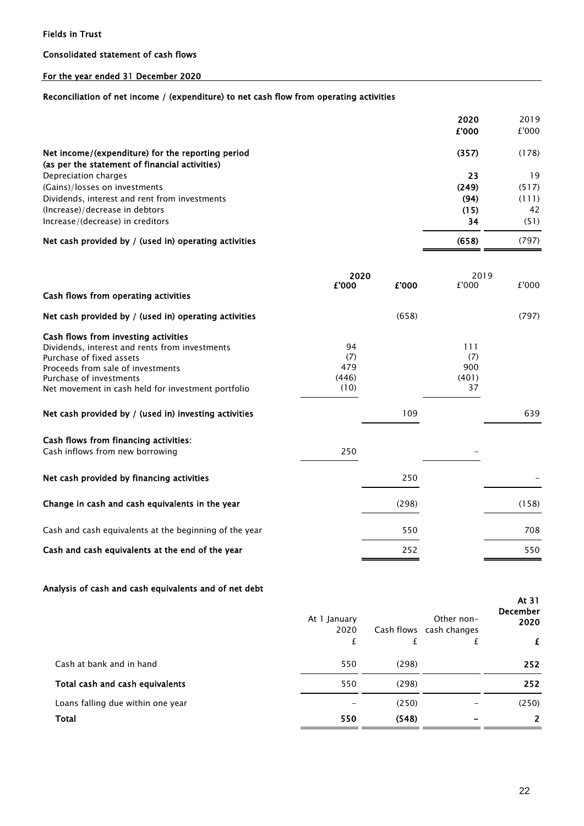### Consolidated statement of cash flows

# For the year ended 31 December 2020

### Reconciliation of net income / (expenditure) to net cash flow from operating activities

|                                                       | 2020  | 2019  |
|-------------------------------------------------------|-------|-------|
|                                                       | £'000 | £'000 |
| Net income/(expenditure) for the reporting period     | (357) | (178) |
| (as per the statement of financial activities)        |       |       |
| Depreciation charges                                  | 23    | 19    |
| (Gains)/losses on investments                         | (249) | (517) |
| Dividends, interest and rent from investments         | (94)  | (111) |
| (Increase)/decrease in debtors                        | (15)  | 42    |
| Increase/(decrease) in creditors                      | 34    | (51)  |
| Net cash provided by / (used in) operating activities | (658) | (797) |

|                                                        | 2020  |       | 2019  |       |
|--------------------------------------------------------|-------|-------|-------|-------|
| Cash flows from operating activities                   | £'000 | £'000 | £'000 | £'000 |
| Net cash provided by / (used in) operating activities  |       | (658) |       | (797) |
| Cash flows from investing activities                   |       |       |       |       |
| Dividends, interest and rents from investments         | 94    |       | 111   |       |
| Purchase of fixed assets                               | (7)   |       | (7)   |       |
| Proceeds from sale of investments                      | 479   |       | 900   |       |
| Purchase of investments                                | (446) |       | (401) |       |
| Net movement in cash held for investment portfolio     | (10)  |       | 37    |       |
| Net cash provided by / (used in) investing activities  |       | 109   |       | 639   |
| Cash flows from financing activities:                  |       |       |       |       |
| Cash inflows from new borrowing                        | 250   |       |       |       |
| Net cash provided by financing activities              |       | 250   |       |       |
| Change in cash and cash equivalents in the year        |       | (298) |       | (158) |
| Cash and cash equivalents at the beginning of the year |       | 550   |       | 708   |
| Cash and cash equivalents at the end of the year       |       | 252   |       | 550   |

## Analysis of cash and cash equivalents and of net debt

|                                   | At 1 January<br>2020 |       | Other non-<br>Cash flows cash changes | At $31$<br><b>December</b><br>2020 |
|-----------------------------------|----------------------|-------|---------------------------------------|------------------------------------|
|                                   | £                    | £     |                                       | £                                  |
| Cash at bank and in hand          | 550                  | (298) |                                       | 252                                |
| Total cash and cash equivalents   | 550                  | (298) |                                       | 252                                |
| Loans falling due within one year |                      | (250) |                                       | (250)                              |
| Total                             | 550                  | (548) |                                       | $\overline{2}$                     |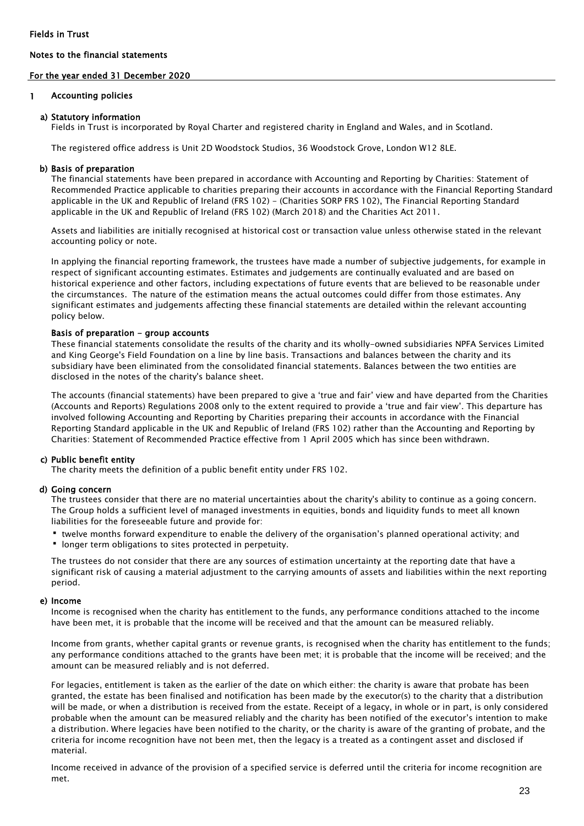#### Notes to the financial statements

### For the year ended 31 December 2020

#### 1 Accounting policies

#### a) Statutory information

Fields in Trust is incorporated by Royal Charter and registered charity in England and Wales, and in Scotland.

The registered office address is Unit 2D Woodstock Studios, 36 Woodstock Grove, London W12 8LE.

#### b) Basis of preparation

The financial statements have been prepared in accordance with Accounting and Reporting by Charities: Statement of Recommended Practice applicable to charities preparing their accounts in accordance with the Financial Reporting Standard applicable in the UK and Republic of Ireland (FRS 102) - (Charities SORP FRS 102), The Financial Reporting Standard applicable in the UK and Republic of Ireland (FRS 102) (March 2018) and the Charities Act 2011.

Assets and liabilities are initially recognised at historical cost or transaction value unless otherwise stated in the relevant accounting policy or note.

In applying the financial reporting framework, the trustees have made a number of subjective judgements, for example in respect of significant accounting estimates. Estimates and judgements are continually evaluated and are based on historical experience and other factors, including expectations of future events that are believed to be reasonable under the circumstances. The nature of the estimation means the actual outcomes could differ from those estimates. Any significant estimates and judgements affecting these financial statements are detailed within the relevant accounting policy below.

#### Basis of preparation - group accounts

These financial statements consolidate the results of the charity and its wholly-owned subsidiaries NPFA Services Limited and King George's Field Foundation on a line by line basis. Transactions and balances between the charity and its subsidiary have been eliminated from the consolidated financial statements. Balances between the two entities are disclosed in the notes of the charity's balance sheet.

The accounts (financial statements) have been prepared to give a 'true and fair' view and have departed from the Charities (Accounts and Reports) Regulations 2008 only to the extent required to provide a 'true and fair view'. This departure has involved following Accounting and Reporting by Charities preparing their accounts in accordance with the Financial Reporting Standard applicable in the UK and Republic of Ireland (FRS 102) rather than the Accounting and Reporting by Charities: Statement of Recommended Practice effective from 1 April 2005 which has since been withdrawn.

#### c) Public benefit entity

The charity meets the definition of a public benefit entity under FRS 102.

#### d) Going concern

The trustees consider that there are no material uncertainties about the charity's ability to continue as a going concern. The Group holds a sufficient level of managed investments in equities, bonds and liquidity funds to meet all known liabilities for the foreseeable future and provide for:

- twelve months forward expenditure to enable the delivery of the organisation's planned operational activity; and
- **•** longer term obligations to sites protected in perpetuity.

The trustees do not consider that there are any sources of estimation uncertainty at the reporting date that have a significant risk of causing a material adjustment to the carrying amounts of assets and liabilities within the next reporting period.

#### e) Income

Income is recognised when the charity has entitlement to the funds, any performance conditions attached to the income have been met, it is probable that the income will be received and that the amount can be measured reliably.

Income from grants, whether capital grants or revenue grants, is recognised when the charity has entitlement to the funds; any performance conditions attached to the grants have been met; it is probable that the income will be received; and the amount can be measured reliably and is not deferred.

For legacies, entitlement is taken as the earlier of the date on which either: the charity is aware that probate has been granted, the estate has been finalised and notification has been made by the executor(s) to the charity that a distribution will be made, or when a distribution is received from the estate. Receipt of a legacy, in whole or in part, is only considered probable when the amount can be measured reliably and the charity has been notified of the executor's intention to make a distribution. Where legacies have been notified to the charity, or the charity is aware of the granting of probate, and the criteria for income recognition have not been met, then the legacy is a treated as a contingent asset and disclosed if material.

Income received in advance of the provision of a specified service is deferred until the criteria for income recognition are met.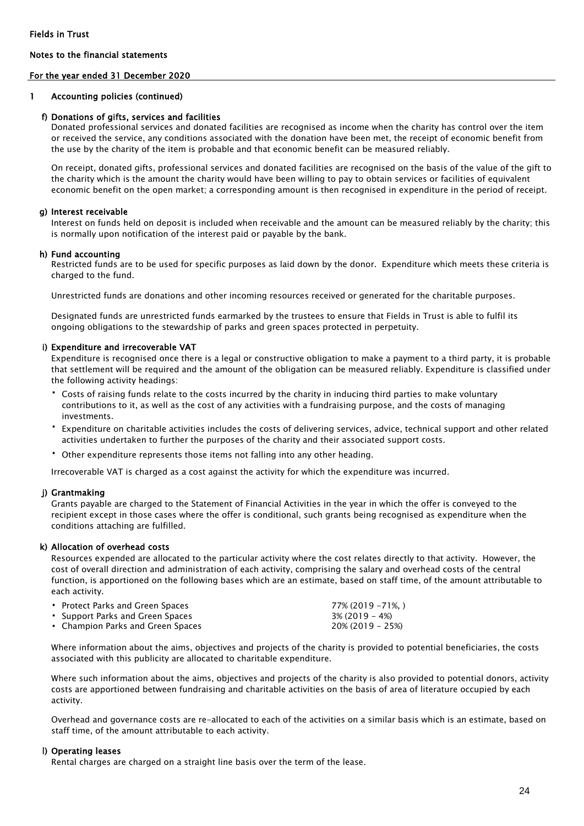### For the year ended 31 December 2020

#### 1 Accounting policies (continued)

#### f) Donations of gifts, services and facilities

Donated professional services and donated facilities are recognised as income when the charity has control over the item or received the service, any conditions associated with the donation have been met, the receipt of economic benefit from the use by the charity of the item is probable and that economic benefit can be measured reliably.

On receipt, donated gifts, professional services and donated facilities are recognised on the basis of the value of the gift to the charity which is the amount the charity would have been willing to pay to obtain services or facilities of equivalent economic benefit on the open market; a corresponding amount is then recognised in expenditure in the period of receipt.

#### g) Interest receivable

Interest on funds held on deposit is included when receivable and the amount can be measured reliably by the charity; this is normally upon notification of the interest paid or payable by the bank.

#### h) Fund accounting

Restricted funds are to be used for specific purposes as laid down by the donor. Expenditure which meets these criteria is charged to the fund.

Unrestricted funds are donations and other incoming resources received or generated for the charitable purposes.

Designated funds are unrestricted funds earmarked by the trustees to ensure that Fields in Trust is able to fulfil its ongoing obligations to the stewardship of parks and green spaces protected in perpetuity.

#### i) Expenditure and irrecoverable VAT

Expenditure is recognised once there is a legal or constructive obligation to make a payment to a third party, it is probable that settlement will be required and the amount of the obligation can be measured reliably. Expenditure is classified under the following activity headings:

- Costs of raising funds relate to the costs incurred by the charity in inducing third parties to make voluntary contributions to it, as well as the cost of any activities with a fundraising purpose, and the costs of managing investments.
- Expenditure on charitable activities includes the costs of delivering services, advice, technical support and other related activities undertaken to further the purposes of the charity and their associated support costs.
- Other expenditure represents those items not falling into any other heading.

Irrecoverable VAT is charged as a cost against the activity for which the expenditure was incurred.

#### j) Grantmaking

Grants payable are charged to the Statement of Financial Activities in the year in which the offer is conveyed to the recipient except in those cases where the offer is conditional, such grants being recognised as expenditure when the conditions attaching are fulfilled.

#### k) Allocation of overhead costs

Resources expended are allocated to the particular activity where the cost relates directly to that activity. However, the cost of overall direction and administration of each activity, comprising the salary and overhead costs of the central function, is apportioned on the following bases which are an estimate, based on staff time, of the amount attributable to each activity.

| • Protect Parks and Green Spaces  | 77% (2019 –71%. )   |
|-----------------------------------|---------------------|
| • Support Parks and Green Spaces  | $3\%$ (2019 – 4%)   |
| • Champion Parks and Green Spaces | $20\%$ (2019 – 25%) |

Where information about the aims, objectives and projects of the charity is provided to potential beneficiaries, the costs associated with this publicity are allocated to charitable expenditure.

Where such information about the aims, objectives and projects of the charity is also provided to potential donors, activity costs are apportioned between fundraising and charitable activities on the basis of area of literature occupied by each activity.

Overhead and governance costs are re-allocated to each of the activities on a similar basis which is an estimate, based on staff time, of the amount attributable to each activity.

#### l) Operating leases

Rental charges are charged on a straight line basis over the term of the lease.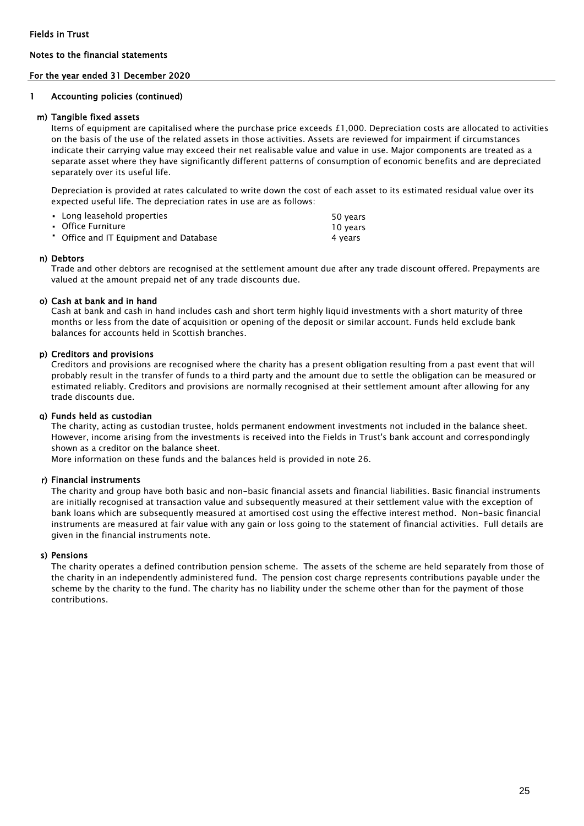#### For the year ended 31 December 2020

#### 1 Accounting policies (continued)

#### m) Tangible fixed assets

Items of equipment are capitalised where the purchase price exceeds £1,000. Depreciation costs are allocated to activities on the basis of the use of the related assets in those activities. Assets are reviewed for impairment if circumstances indicate their carrying value may exceed their net realisable value and value in use. Major components are treated as a separate asset where they have significantly different patterns of consumption of economic benefits and are depreciated separately over its useful life.

Depreciation is provided at rates calculated to write down the cost of each asset to its estimated residual value over its expected useful life. The depreciation rates in use are as follows:

| • Long leasehold properties            | 50 years |
|----------------------------------------|----------|
| • Office Furniture                     | 10 vears |
| • Office and IT Equipment and Database | 4 vears  |

#### n) Debtors

Trade and other debtors are recognised at the settlement amount due after any trade discount offered. Prepayments are valued at the amount prepaid net of any trade discounts due.

#### o) Cash at bank and in hand

Cash at bank and cash in hand includes cash and short term highly liquid investments with a short maturity of three months or less from the date of acquisition or opening of the deposit or similar account. Funds held exclude bank balances for accounts held in Scottish branches.

#### p) Creditors and provisions

Creditors and provisions are recognised where the charity has a present obligation resulting from a past event that will probably result in the transfer of funds to a third party and the amount due to settle the obligation can be measured or estimated reliably. Creditors and provisions are normally recognised at their settlement amount after allowing for any trade discounts due.

#### q) Funds held as custodian

The charity, acting as custodian trustee, holds permanent endowment investments not included in the balance sheet. However, income arising from the investments is received into the Fields in Trust's bank account and correspondingly shown as a creditor on the balance sheet.

More information on these funds and the balances held is provided in note 26.

#### r) Financial instruments

The charity and group have both basic and non-basic financial assets and financial liabilities. Basic financial instruments are initially recognised at transaction value and subsequently measured at their settlement value with the exception of bank loans which are subsequently measured at amortised cost using the effective interest method. Non-basic financial instruments are measured at fair value with any gain or loss going to the statement of financial activities. Full details are given in the financial instruments note.

#### s) Pensions

The charity operates a defined contribution pension scheme. The assets of the scheme are held separately from those of the charity in an independently administered fund. The pension cost charge represents contributions payable under the scheme by the charity to the fund. The charity has no liability under the scheme other than for the payment of those contributions.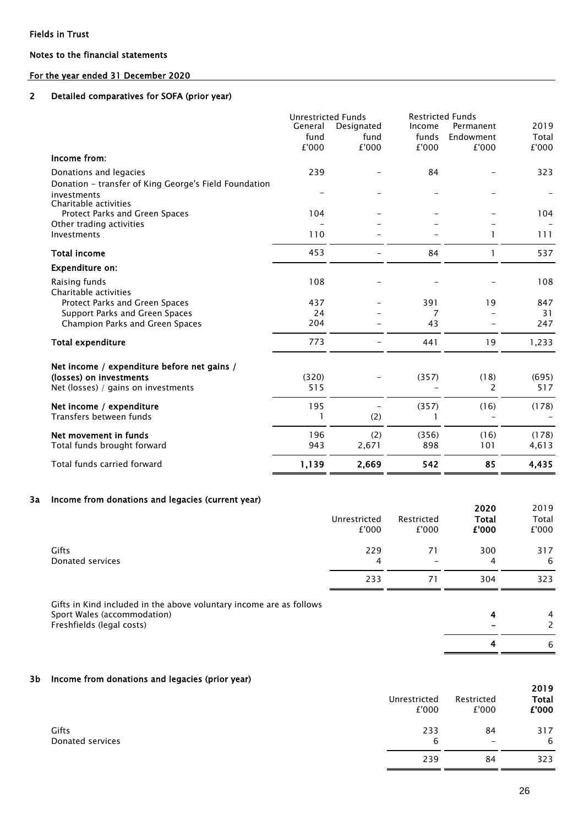### For the year ended 31 December 2020

#### 2 Detailed comparatives for SOFA (prior year)

|                                                                   | <b>Unrestricted Funds</b> |                    | <b>Restricted Funds</b> |                        |               |  |
|-------------------------------------------------------------------|---------------------------|--------------------|-------------------------|------------------------|---------------|--|
|                                                                   | General<br>fund           | Designated<br>fund | Income<br>funds         | Permanent<br>Endowment | 2019<br>Total |  |
|                                                                   | £'000                     | £'000              | £'000                   | £'000                  | £'000         |  |
| Income from:                                                      |                           |                    |                         |                        |               |  |
| Donations and legacies                                            | 239                       |                    | 84                      |                        | 323           |  |
| Donation - transfer of King George's Field Foundation             |                           |                    |                         |                        |               |  |
| investments<br>Charitable activities                              |                           |                    |                         |                        |               |  |
| Protect Parks and Green Spaces                                    | 104                       |                    |                         |                        | 104           |  |
| Other trading activities                                          |                           |                    |                         |                        |               |  |
| Investments                                                       | 110                       |                    |                         |                        | 111           |  |
| <b>Total income</b>                                               | 453                       |                    | 84                      |                        | 537           |  |
| <b>Expenditure on:</b>                                            |                           |                    |                         |                        |               |  |
| Raising funds                                                     | 108                       |                    |                         |                        | 108           |  |
| Charitable activities                                             |                           |                    |                         |                        |               |  |
| Protect Parks and Green Spaces                                    | 437<br>24                 |                    | 391                     | 19                     | 847           |  |
| Support Parks and Green Spaces<br>Champion Parks and Green Spaces | 204                       |                    | 7<br>43                 |                        | 31<br>247     |  |
|                                                                   |                           |                    |                         |                        |               |  |
| <b>Total expenditure</b>                                          | 773                       |                    | 441                     | 19                     | 1,233         |  |
| Net income / expenditure before net gains /                       |                           |                    |                         |                        |               |  |
| (losses) on investments                                           | (320)                     |                    | (357)                   | (18)                   | (695)         |  |
| Net (losses) / gains on investments                               | 515                       |                    |                         | 2                      | 517           |  |
| Net income / expenditure                                          | 195                       |                    | (357)                   | (16)                   | (178)         |  |
| Transfers between funds                                           | 1                         | (2)                |                         |                        |               |  |
| Net movement in funds                                             | 196                       | (2)                | (356)                   | (16)                   | (178)         |  |
| Total funds brought forward                                       | 943                       | 2,671              | 898                     | 101                    | 4,613         |  |
| Total funds carried forward                                       | 1,139                     | 2,669              | 542                     | 85                     | 4,435         |  |

#### 3a Income from donations and legacies (current year)

| <u>111981118 118111 WANAGARTA WILM TEMAGERA (BANTENIG JEAN)</u>                                                                 | Unrestricted<br>£'000 | Restricted<br>£'000 | 2020<br><b>Total</b><br>£'000 | 2019<br>Total<br>£'000 |
|---------------------------------------------------------------------------------------------------------------------------------|-----------------------|---------------------|-------------------------------|------------------------|
| <b>Gifts</b><br>Donated services                                                                                                | 229<br>4              | 71                  | 300<br>4                      | 317<br>-6              |
|                                                                                                                                 | 233                   | 71                  | 304                           | 323                    |
| Gifts in Kind included in the above voluntary income are as follows<br>Sport Wales (accommodation)<br>Freshfields (legal costs) |                       |                     | 4<br>4                        | 4<br>6                 |

#### 3b Income from donations and legacies (prior year)

| 1.1              | Unrestricted<br>£'000 | Restricted<br>£'000 | 2019<br>Total<br>£'000 |
|------------------|-----------------------|---------------------|------------------------|
| Gifts            | 233                   | 84                  | 317                    |
| Donated services | 6                     | $\qquad \qquad$     | 6                      |
|                  | 239                   | 84                  | 323                    |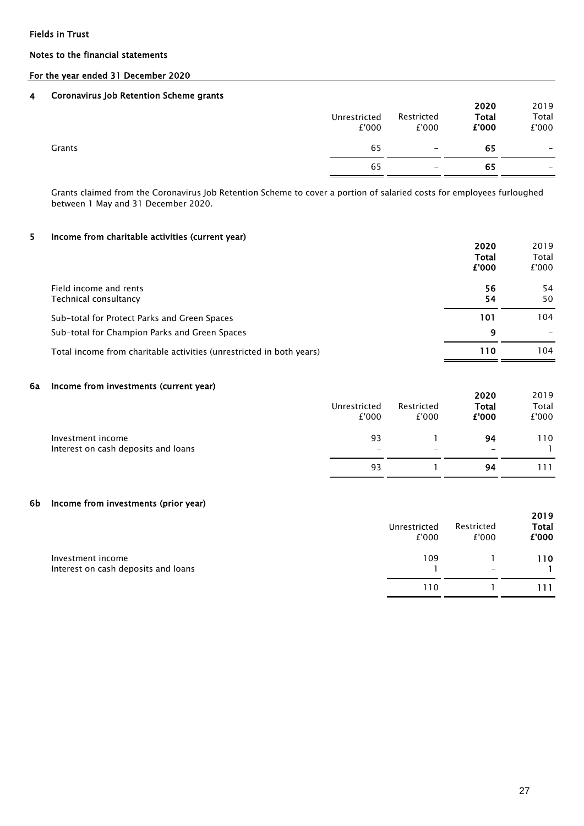#### Notes to the financial statements

### For the year ended 31 December 2020

#### 4 Coronavirus Job Retention Scheme grants

|        | Unrestricted<br>£'000 | Restricted<br>£'000      | 2020<br><b>Total</b><br>£'000 | 2019<br>Total<br>£'000 |
|--------|-----------------------|--------------------------|-------------------------------|------------------------|
| Grants | 65                    | $\overline{\phantom{m}}$ | 65                            | -                      |
|        | 65                    | $\qquad \qquad -$        | 65                            | -                      |

Grants claimed from the Coronavirus Job Retention Scheme to cover a portion of salaried costs for employees furloughed between 1 May and 31 December 2020.

#### 5 Income from charitable activities (current year)

|                                                                      | 2020         | 2019  |
|----------------------------------------------------------------------|--------------|-------|
|                                                                      | <b>Total</b> | Total |
|                                                                      | £'000        | £'000 |
| Field income and rents                                               | 56           | 54    |
| Technical consultancy                                                | 54           | 50    |
| Sub-total for Protect Parks and Green Spaces                         | 101          | 104   |
| Sub-total for Champion Parks and Green Spaces                        | 9            |       |
| Total income from charitable activities (unrestricted in both years) | 110          | 104   |
|                                                                      |              |       |

#### 6a Income from investments (current year)

| 1.11                                | Unrestricted<br>£'000 | Restricted<br>£'000      | 2020<br>Total<br>£'000   | 2019<br>Total<br>£'000 |
|-------------------------------------|-----------------------|--------------------------|--------------------------|------------------------|
| Investment income                   | 93                    |                          | 94                       | 110                    |
| Interest on cash deposits and loans | -                     | $\overline{\phantom{0}}$ | $\overline{\phantom{0}}$ |                        |
|                                     | 93                    |                          | 94                       | -11                    |

#### 6b Income from investments (prior year)

|                                                          | Unrestricted<br>£'000 | Restricted<br>£'000      | 2019<br><b>Total</b><br>£'000 |
|----------------------------------------------------------|-----------------------|--------------------------|-------------------------------|
| Investment income<br>Interest on cash deposits and loans | 109                   | $\overline{\phantom{a}}$ | 110                           |
|                                                          | 110                   |                          | 111                           |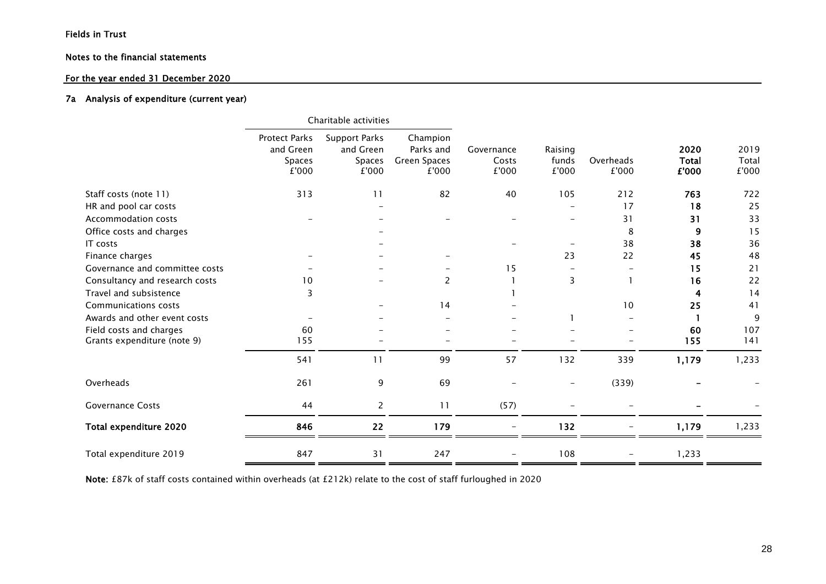### For the year ended 31 December 2020

#### 7a Analysis of expenditure (current year)

|                                |                                                             | Charitable activities                                |                                                       |                              |                           |                    |                               |                        |
|--------------------------------|-------------------------------------------------------------|------------------------------------------------------|-------------------------------------------------------|------------------------------|---------------------------|--------------------|-------------------------------|------------------------|
|                                | <b>Protect Parks</b><br>and Green<br><b>Spaces</b><br>£'000 | <b>Support Parks</b><br>and Green<br>Spaces<br>£'000 | Champion<br>Parks and<br><b>Green Spaces</b><br>£'000 | Governance<br>Costs<br>£'000 | Raising<br>funds<br>£'000 | Overheads<br>£'000 | 2020<br><b>Total</b><br>£'000 | 2019<br>Total<br>£'000 |
| Staff costs (note 11)          | 313                                                         | 11                                                   | 82                                                    | 40                           | 105                       | 212                | 763                           | 722                    |
| HR and pool car costs          |                                                             |                                                      |                                                       |                              |                           | 17                 | 18                            | 25                     |
| <b>Accommodation costs</b>     |                                                             |                                                      |                                                       |                              |                           | 31                 | 31                            | 33                     |
| Office costs and charges       |                                                             |                                                      |                                                       |                              |                           | 8                  | 9                             | 15                     |
| IT costs                       |                                                             |                                                      |                                                       |                              |                           | 38                 | 38                            | 36                     |
| Finance charges                |                                                             |                                                      |                                                       |                              | 23                        | 22                 | 45                            | 48                     |
| Governance and committee costs |                                                             |                                                      |                                                       | 15                           |                           |                    | 15                            | 21                     |
| Consultancy and research costs | 10                                                          |                                                      | $\overline{2}$                                        |                              | 3                         |                    | 16                            | 22                     |
| Travel and subsistence         | 3                                                           |                                                      |                                                       |                              |                           |                    | 4                             | 14                     |
| Communications costs           |                                                             |                                                      | 14                                                    |                              |                           | 10                 | 25                            | 41                     |
| Awards and other event costs   |                                                             |                                                      |                                                       |                              |                           |                    |                               | 9                      |
| Field costs and charges        | 60                                                          |                                                      |                                                       |                              |                           |                    | 60                            | 107                    |
| Grants expenditure (note 9)    | 155                                                         |                                                      |                                                       |                              |                           |                    | 155                           | 141                    |
|                                | 541                                                         | 11                                                   | 99                                                    | 57                           | 132                       | 339                | 1,179                         | 1,233                  |
| Overheads                      | 261                                                         | 9                                                    | 69                                                    |                              | $\overline{\phantom{m}}$  | (339)              |                               |                        |
| <b>Governance Costs</b>        | 44                                                          | $\overline{2}$                                       | 11                                                    | (57)                         |                           |                    |                               |                        |
| Total expenditure 2020         | 846                                                         | 22                                                   | 179                                                   |                              | 132                       |                    | 1,179                         | 1,233                  |
| Total expenditure 2019         | 847                                                         | 31                                                   | 247                                                   |                              | 108                       |                    | 1,233                         |                        |

Note: £87k of staff costs contained within overheads (at £212k) relate to the cost of staff furloughed in 2020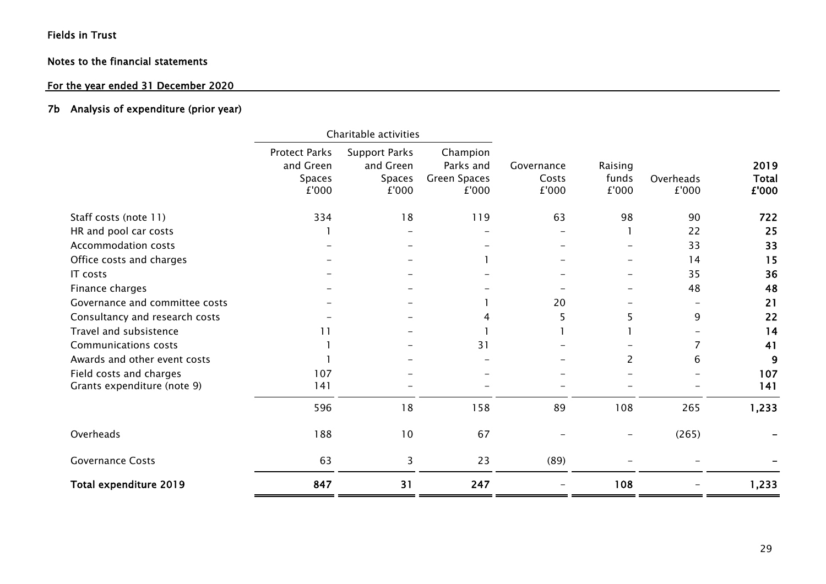# Notes to the financial statements

# For the year ended 31 December 2020

## 7b Analysis of expenditure (prior year)

|                                                        | Charitable activities                                       |                                                      |                                                |                              |                           |                    |                               |
|--------------------------------------------------------|-------------------------------------------------------------|------------------------------------------------------|------------------------------------------------|------------------------------|---------------------------|--------------------|-------------------------------|
|                                                        | <b>Protect Parks</b><br>and Green<br><b>Spaces</b><br>£'000 | <b>Support Parks</b><br>and Green<br>Spaces<br>£'000 | Champion<br>Parks and<br>Green Spaces<br>£'000 | Governance<br>Costs<br>£'000 | Raising<br>funds<br>£'000 | Overheads<br>£'000 | 2019<br><b>Total</b><br>£'000 |
| Staff costs (note 11)                                  | 334                                                         | 18                                                   | 119                                            | 63                           | 98                        | 90                 | 722                           |
| HR and pool car costs                                  |                                                             |                                                      |                                                |                              |                           | 22                 | 25                            |
| <b>Accommodation costs</b>                             |                                                             |                                                      |                                                |                              |                           | 33                 | 33                            |
| Office costs and charges                               |                                                             |                                                      |                                                |                              |                           | 14                 | 15                            |
| IT costs                                               |                                                             |                                                      |                                                |                              |                           | 35                 | 36                            |
| Finance charges                                        |                                                             |                                                      |                                                |                              |                           | 48                 | 48                            |
| Governance and committee costs                         |                                                             |                                                      |                                                | 20                           |                           |                    | 21                            |
| Consultancy and research costs                         |                                                             |                                                      | 4                                              | 5                            | 5                         | 9                  | 22                            |
| Travel and subsistence                                 | 11                                                          |                                                      |                                                |                              |                           |                    | 14                            |
| <b>Communications costs</b>                            |                                                             |                                                      | 31                                             |                              |                           |                    | 41                            |
| Awards and other event costs                           |                                                             |                                                      |                                                |                              | 2                         | 6                  | 9                             |
| Field costs and charges<br>Grants expenditure (note 9) | 107<br>141                                                  |                                                      |                                                |                              |                           |                    | 107<br>141                    |
|                                                        | 596                                                         | 18                                                   | 158                                            | 89                           | 108                       | 265                | 1,233                         |
| Overheads                                              | 188                                                         | 10                                                   | 67                                             |                              |                           | (265)              |                               |
| <b>Governance Costs</b>                                | 63                                                          | 3                                                    | 23                                             | (89)                         |                           |                    |                               |
| Total expenditure 2019                                 | 847                                                         | 31                                                   | 247                                            |                              | 108                       |                    | 1,233                         |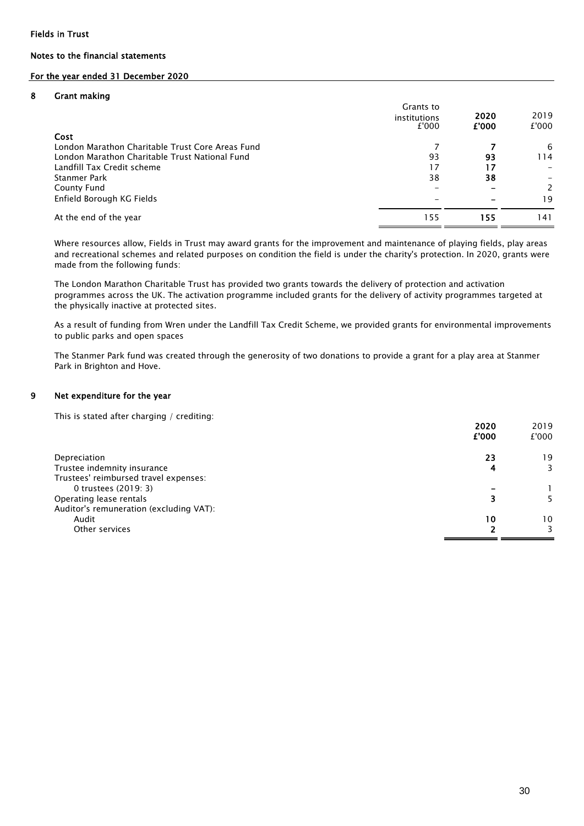### For the year ended 31 December 2020

#### 8 Grant making

|                                                  | Grants to<br>institutions<br>£'000 | 2020<br>£'000 | 2019<br>£'000  |
|--------------------------------------------------|------------------------------------|---------------|----------------|
| Cost                                             |                                    |               |                |
| London Marathon Charitable Trust Core Areas Fund |                                    |               | 6              |
| London Marathon Charitable Trust National Fund   | 93                                 | 93            | 114            |
| Landfill Tax Credit scheme                       | 17                                 | 17            |                |
| Stanmer Park                                     | 38                                 | 38            |                |
| County Fund                                      |                                    |               | $\overline{2}$ |
| Enfield Borough KG Fields                        |                                    |               | 19             |
| At the end of the year                           | 155                                | 155           | 141            |

Where resources allow, Fields in Trust may award grants for the improvement and maintenance of playing fields, play areas and recreational schemes and related purposes on condition the field is under the charity's protection. In 2020, grants were made from the following funds:

The London Marathon Charitable Trust has provided two grants towards the delivery of protection and activation programmes across the UK. The activation programme included grants for the delivery of activity programmes targeted at the physically inactive at protected sites.

As a result of funding from Wren under the Landfill Tax Credit Scheme, we provided grants for environmental improvements to public parks and open spaces

The Stanmer Park fund was created through the generosity of two donations to provide a grant for a play area at Stanmer Park in Brighton and Hove.

#### 9 Net expenditure for the year

This is stated after charging / crediting:

|                                         | 2020<br>£'000 | 2019<br>£'000 |
|-----------------------------------------|---------------|---------------|
| Depreciation                            | 23            | 19            |
| Trustee indemnity insurance             | 4             | 3             |
| Trustees' reimbursed travel expenses:   |               |               |
| 0 trustees (2019: 3)                    |               |               |
| Operating lease rentals                 |               |               |
| Auditor's remuneration (excluding VAT): |               |               |
| Audit                                   | 10            | 10            |
| Other services                          |               | 3.            |
|                                         |               |               |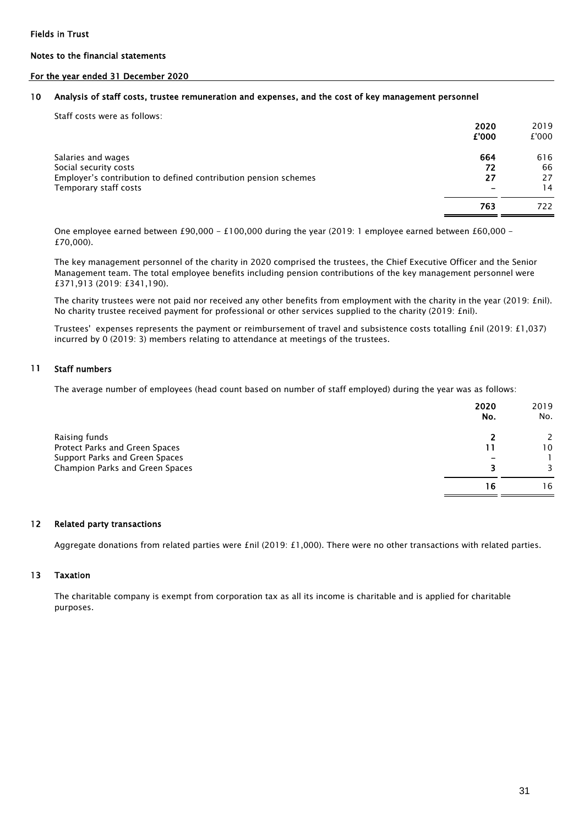#### For the year ended 31 December 2020

#### 10 Analysis of staff costs, trustee remuneration and expenses, and the cost of key management personnel

| Staff costs were as follows:                                                                                                            | 2020<br>£'000   | 2019<br>£'000         |
|-----------------------------------------------------------------------------------------------------------------------------------------|-----------------|-----------------------|
| Salaries and wages<br>Social security costs<br>Employer's contribution to defined contribution pension schemes<br>Temporary staff costs | 664<br>72<br>27 | 616<br>66<br>27<br>14 |
|                                                                                                                                         | 763             | 722                   |

One employee earned between £90,000 - £100,000 during the year (2019: 1 employee earned between £60,000 -£70,000).

The key management personnel of the charity in 2020 comprised the trustees, the Chief Executive Officer and the Senior Management team. The total employee benefits including pension contributions of the key management personnel were £371,913 (2019: £341,190).

The charity trustees were not paid nor received any other benefits from employment with the charity in the year (2019: £nil). No charity trustee received payment for professional or other services supplied to the charity (2019: £nil).

Trustees' expenses represents the payment or reimbursement of travel and subsistence costs totalling £nil (2019: £1,037) incurred by 0 (2019: 3) members relating to attendance at meetings of the trustees.

#### 11 Staff numbers

The average number of employees (head count based on number of staff employed) during the year was as follows:

|                                 | 2020<br>No. | 2019<br>No. |
|---------------------------------|-------------|-------------|
| Raising funds                   |             |             |
| Protect Parks and Green Spaces  |             | 10          |
| Support Parks and Green Spaces  |             |             |
| Champion Parks and Green Spaces | 3           |             |
|                                 | 16          | 16          |

#### 12 Related party transactions

Aggregate donations from related parties were £nil (2019: £1,000). There were no other transactions with related parties.

#### 13 Taxation

The charitable company is exempt from corporation tax as all its income is charitable and is applied for charitable purposes.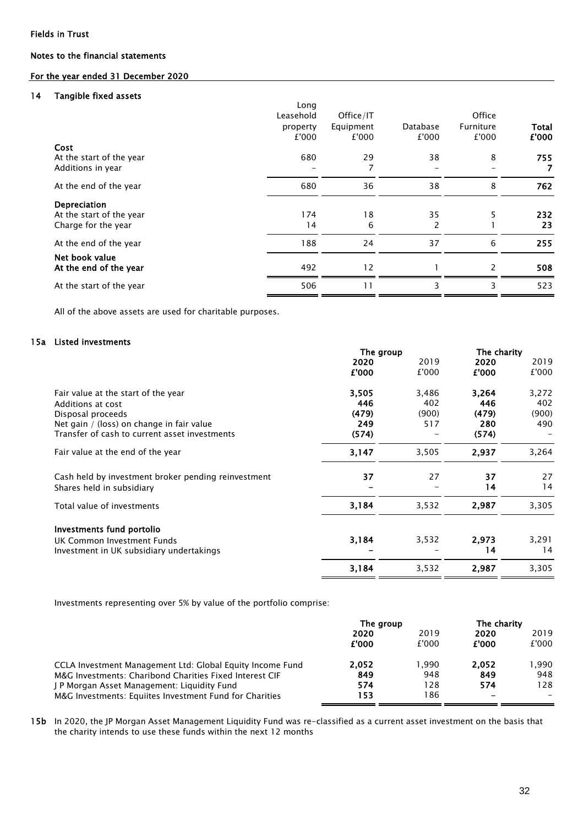### For the year ended 31 December 2020

#### 14 Tangible fixed assets

|                          | Long      |           |          |               |       |
|--------------------------|-----------|-----------|----------|---------------|-------|
|                          | Leasehold | Office/IT |          | Office        |       |
|                          | property  | Equipment | Database | Furniture     | Total |
|                          | £'000     | £'000     | £'000    | £'000         | £'000 |
| Cost                     |           |           |          |               |       |
| At the start of the year | 680       | 29        | 38       | 8             | 755   |
| Additions in year        |           | 7         |          |               | 7     |
| At the end of the year   | 680       | 36        | 38       | 8             | 762   |
| Depreciation             |           |           |          |               |       |
| At the start of the year | 174       | 18        | 35       | 5             | 232   |
| Charge for the year      | 14        | 6         | 2        |               | 23    |
| At the end of the year   | 188       | 24        | 37       | 6             | 255   |
| Net book value           |           |           |          |               |       |
| At the end of the year   | 492       | 12        |          | $\mathcal{P}$ | 508   |
| At the start of the year | 506       | 11        | 3        | 3             | 523   |
|                          |           |           |          |               |       |

All of the above assets are used for charitable purposes.

#### 15a Listed investments

|                                                     | The group |       | The charity |       |  |
|-----------------------------------------------------|-----------|-------|-------------|-------|--|
|                                                     | 2020      | 2019  | 2020        | 2019  |  |
|                                                     | £'000     | £'000 | £'000       | £'000 |  |
| Fair value at the start of the year                 | 3,505     | 3,486 | 3,264       | 3,272 |  |
| Additions at cost                                   | 446       | 402   | 446         | 402   |  |
| Disposal proceeds                                   | (479)     | (900) | (479)       | (900) |  |
| Net gain / (loss) on change in fair value           | 249       | 517   | 280         | 490   |  |
| Transfer of cash to current asset investments       | (574)     |       | (574)       |       |  |
| Fair value at the end of the year                   | 3,147     | 3,505 | 2,937       | 3,264 |  |
| Cash held by investment broker pending reinvestment | 37        | 27    | 37          | 27    |  |
| Shares held in subsidiary                           |           |       | 14          | 14    |  |
| Total value of investments                          | 3,184     | 3,532 | 2,987       | 3,305 |  |
| Investments fund portolio                           |           |       |             |       |  |
| UK Common Investment Funds                          | 3,184     | 3,532 | 2,973       | 3,291 |  |
| Investment in UK subsidiary undertakings            |           |       | 14          | 14    |  |
|                                                     | 3,184     | 3,532 | 2,987       | 3,305 |  |

Investments representing over 5% by value of the portfolio comprise:

|                                                           | The group |        | The charity |        |
|-----------------------------------------------------------|-----------|--------|-------------|--------|
|                                                           | 2020      | 2019   | 2020        | 2019   |
|                                                           | £'000     | £'000  | £'000       | £'000  |
| CCLA Investment Management Ltd: Global Equity Income Fund | 2.052     | 990. ا | 2.052       | 990. ا |
| M&G Investments: Charibond Charities Fixed Interest CIF   | 849       | 948    | 849         | 948    |
| J P Morgan Asset Management: Liquidity Fund               | 574       | 128    | 574         | 128    |
| M&G Investments: Equiites Investment Fund for Charities   | 153       | 186    |             |        |

15b In 2020, the JP Morgan Asset Management Liquidity Fund was re-classified as a current asset investment on the basis that the charity intends to use these funds within the next 12 months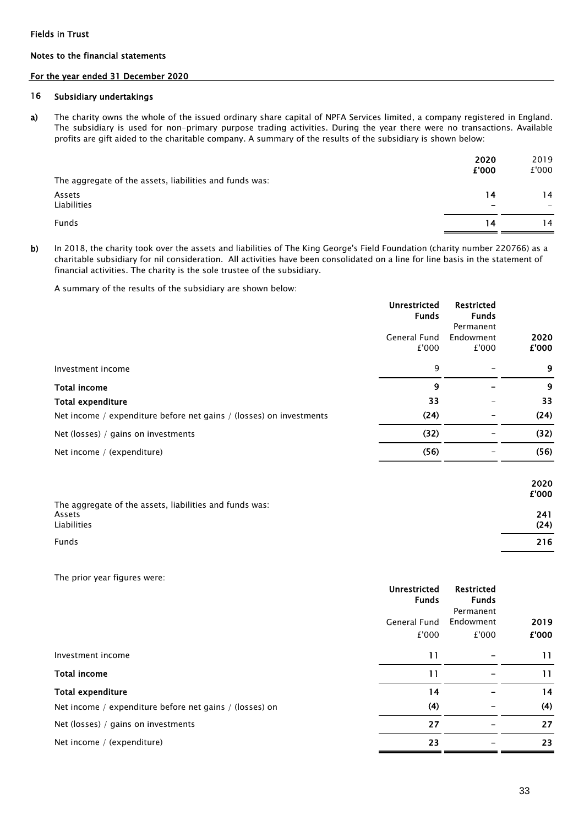#### Notes to the financial statements

#### For the year ended 31 December 2020

#### 16 Subsidiary undertakings

a) The charity owns the whole of the issued ordinary share capital of NPFA Services limited, a company registered in England. The subsidiary is used for non-primary purpose trading activities. During the year there were no transactions. Available profits are gift aided to the charitable company. A summary of the results of the subsidiary is shown below:

| The aggregate of the assets, liabilities and funds was: | 2020<br>£'000 | 2019<br>£'000 |
|---------------------------------------------------------|---------------|---------------|
| Assets                                                  | 14            | 14            |
| Liabilities                                             | -             |               |
| <b>Funds</b>                                            | 14            | 14            |

b) In 2018, the charity took over the assets and liabilities of The King George's Field Foundation (charity number 220766) as a charitable subsidiary for nil consideration. All activities have been consolidated on a line for line basis in the statement of financial activities. The charity is the sole trustee of the subsidiary.

A summary of the results of the subsidiary are shown below:

|                                                                                  | <b>Unrestricted</b><br><b>Funds</b> | <b>Restricted</b><br><b>Funds</b><br>Permanent |               |
|----------------------------------------------------------------------------------|-------------------------------------|------------------------------------------------|---------------|
|                                                                                  | General Fund<br>£'000               | Endowment<br>£'000                             | 2020<br>£'000 |
| Investment income                                                                | 9                                   |                                                | 9             |
| <b>Total income</b>                                                              | 9                                   |                                                | 9             |
| <b>Total expenditure</b>                                                         | 33                                  |                                                | 33            |
| Net income / expenditure before net gains / (losses) on investments              | (24)                                |                                                | (24)          |
| Net (losses) / gains on investments                                              | (32)                                |                                                | (32)          |
| Net income / (expenditure)                                                       | (56)                                |                                                | (56)          |
|                                                                                  |                                     |                                                | 2020<br>£'000 |
| The aggregate of the assets, liabilities and funds was:<br>Assets<br>Liabilities |                                     |                                                | 241<br>(24)   |
| Funds                                                                            |                                     |                                                | 216           |

The prior year figures were:

|                                                         | <b>Unrestricted</b><br><b>Funds</b> | <b>Restricted</b><br><b>Funds</b> |               |
|---------------------------------------------------------|-------------------------------------|-----------------------------------|---------------|
|                                                         | General Fund<br>£'000               | Permanent<br>Endowment<br>£'000   | 2019<br>£'000 |
| Investment income                                       | 11                                  |                                   | 11            |
| <b>Total income</b>                                     | 11                                  |                                   | 11            |
| <b>Total expenditure</b>                                | 14                                  |                                   | 14            |
| Net income / expenditure before net gains / (losses) on | (4)                                 |                                   | (4)           |
| Net (losses) / gains on investments                     | 27                                  |                                   | 27            |
| Net income / (expenditure)                              | 23                                  |                                   | 23            |
|                                                         |                                     |                                   |               |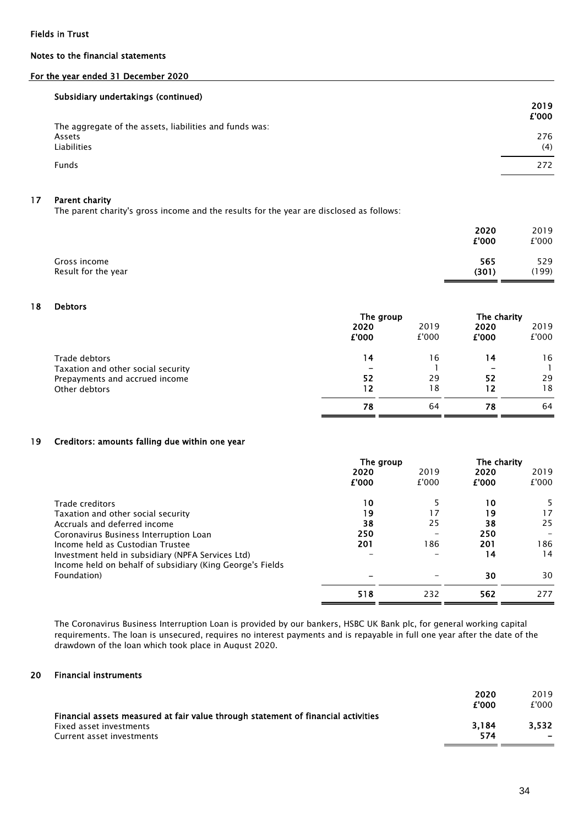#### For the year ended 31 December 2020

#### Subsidiary undertakings (continued)

| <b>Subsidially dildertakings (Continued)</b>                                            | 2019<br>£'000 |
|-----------------------------------------------------------------------------------------|---------------|
| The aggregate of the assets, liabilities and funds was:<br>Assets<br><b>Liabilities</b> | 276<br>(4)    |
| <b>Funds</b>                                                                            | 272           |

#### 17 Parent charity

The parent charity's gross income and the results for the year are disclosed as follows:

|                                     | 2020<br>£'000 | 2019<br>£'000 |
|-------------------------------------|---------------|---------------|
| Gross income<br>Result for the year | 565<br>(301)  | 529<br>(199)  |
|                                     |               |               |

#### 18 Debtors

|                                    | The group |       | The charity              |       |  |
|------------------------------------|-----------|-------|--------------------------|-------|--|
|                                    | 2020      | 2019  | 2020                     | 2019  |  |
|                                    | £'000     | £'000 | £'000                    | £'000 |  |
| Trade debtors                      | 14        | 16    | 14                       | 16    |  |
| Taxation and other social security | -         |       | $\overline{\phantom{a}}$ |       |  |
| Prepayments and accrued income     | 52        | 29    | 52                       | 29    |  |
| Other debtors                      | 12        | 18    | 12                       | 18    |  |
|                                    | 78        | 64    | 78                       | 64    |  |

#### 19 Creditors: amounts falling due within one year

|                                                                                                                | The group |       | The charity |       |
|----------------------------------------------------------------------------------------------------------------|-----------|-------|-------------|-------|
|                                                                                                                | 2020      | 2019  | 2020        | 2019  |
|                                                                                                                | £'000     | £'000 | £'000       | £'000 |
| Trade creditors                                                                                                | 10        |       | 10          | 5.    |
| Taxation and other social security                                                                             | 19        | 17    | 19          | 17    |
| Accruals and deferred income                                                                                   | 38        | 25    | 38          | 25    |
| Coronavirus Business Interruption Loan                                                                         | 250       |       | 250         |       |
| Income held as Custodian Trustee                                                                               | 201       | 186   | 201         | 186   |
| Investment held in subsidiary (NPFA Services Ltd)<br>Income held on behalf of subsidiary (King George's Fields |           |       | 14          | 14    |
| Foundation)                                                                                                    |           |       | 30          | 30    |
|                                                                                                                | 518       | 232   | 562         | 277   |

The Coronavirus Business Interruption Loan is provided by our bankers, HSBC UK Bank plc, for general working capital requirements. The loan is unsecured, requires no interest payments and is repayable in full one year after the date of the drawdown of the loan which took place in August 2020.

#### 20 Financial instruments

|                                                                                   | 2020  | 2019  |
|-----------------------------------------------------------------------------------|-------|-------|
|                                                                                   | £'000 | £'000 |
| Financial assets measured at fair value through statement of financial activities |       |       |
| Fixed asset investments                                                           | 3.184 | 3.532 |
| Current asset investments                                                         | 574   |       |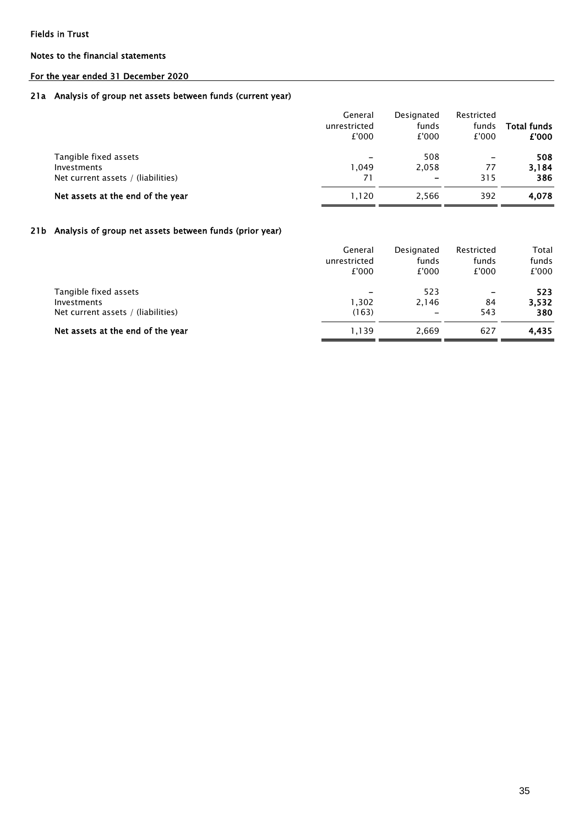#### Notes to the financial statements

# For the year ended 31 December 2020

#### 21a Analysis of group net assets between funds (current year)

|                                                                            | General<br>unrestricted<br>£'000 | Designated<br>funds<br>£'000 | Restricted<br>funds<br>£'000          | <b>Total funds</b><br>£'000 |
|----------------------------------------------------------------------------|----------------------------------|------------------------------|---------------------------------------|-----------------------------|
| Tangible fixed assets<br>Investments<br>Net current assets / (liabilities) | -<br>1.049<br>71                 | 508<br>2,058<br>-            | $\overline{\phantom{0}}$<br>77<br>315 | 508<br>3.184<br>386         |
| Net assets at the end of the year                                          | 1.120                            | 2,566                        | 392                                   | 4,078                       |

#### 21b Analysis of group net assets between funds (prior year)

|                                                                            | General<br>unrestricted<br>£'000 | Designated<br>funds<br>£'000             | Restricted<br>funds<br>£'000              | Total<br>funds<br>£'000 |
|----------------------------------------------------------------------------|----------------------------------|------------------------------------------|-------------------------------------------|-------------------------|
| Tangible fixed assets<br>Investments<br>Net current assets / (liabilities) | 1.302<br>(163)                   | 523<br>2,146<br>$\overline{\phantom{a}}$ | $\qquad \qquad \blacksquare$<br>84<br>543 | 523<br>3,532<br>380     |
| Net assets at the end of the year                                          | 1,139                            | 2,669                                    | 627                                       | 4,435                   |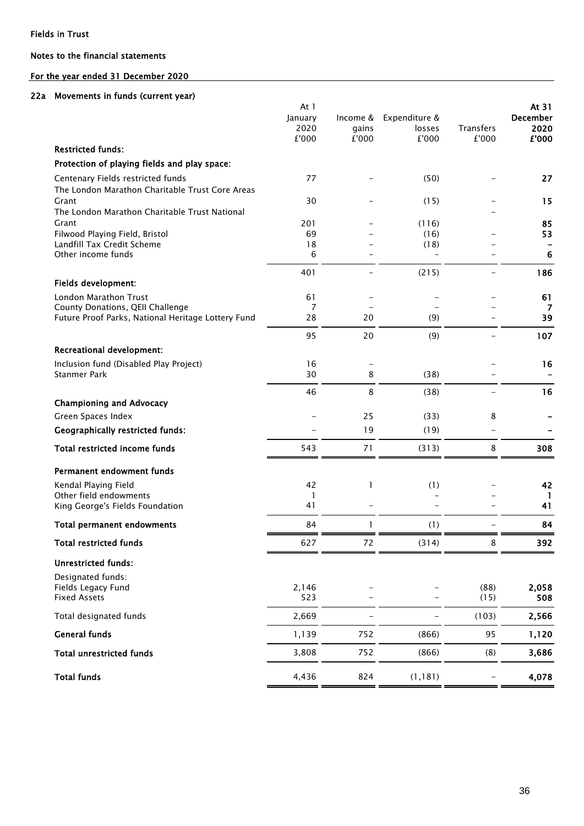### Notes to the financial statements

# For the year ended 31 December 2020

#### 22a Movements in funds (current year)

|                                                          | At 1    |              |               |                  |                 | At 31 |
|----------------------------------------------------------|---------|--------------|---------------|------------------|-----------------|-------|
|                                                          | January | Income &     | Expenditure & |                  | <b>December</b> |       |
|                                                          | 2020    | gains        | losses        | <b>Transfers</b> | 2020            |       |
| <b>Restricted funds:</b>                                 | £'000   | £'000        | £'000         | £'000            | £'000           |       |
| Protection of playing fields and play space:             |         |              |               |                  |                 |       |
|                                                          |         |              |               |                  |                 |       |
| Centenary Fields restricted funds                        | 77      |              | (50)          |                  | 27              |       |
| The London Marathon Charitable Trust Core Areas<br>Grant | 30      |              | (15)          |                  | 15              |       |
| The London Marathon Charitable Trust National            |         |              |               |                  |                 |       |
| Grant                                                    | 201     |              | (116)         |                  | 85              |       |
| Filwood Playing Field, Bristol                           | 69      |              | (16)          |                  | 53              |       |
| Landfill Tax Credit Scheme                               | 18      |              | (18)          |                  |                 |       |
| Other income funds                                       | 6       |              |               |                  | 6               |       |
|                                                          | 401     |              | (215)         |                  | 186             |       |
| Fields development:                                      |         |              |               |                  |                 |       |
| <b>London Marathon Trust</b>                             | 61      |              |               |                  | 61              |       |
| County Donations, QEII Challenge                         | 7       |              |               |                  | 7               |       |
| Future Proof Parks, National Heritage Lottery Fund       | 28      | 20           | (9)           |                  | 39              |       |
|                                                          | 95      | 20           | (9)           |                  | 107             |       |
| <b>Recreational development:</b>                         |         |              |               |                  |                 |       |
| Inclusion fund (Disabled Play Project)                   | 16      |              |               |                  | 16              |       |
| <b>Stanmer Park</b>                                      | 30      | 8            | (38)          |                  |                 |       |
|                                                          | 46      | 8            | (38)          |                  | 16              |       |
| <b>Championing and Advocacy</b>                          |         |              |               |                  |                 |       |
| Green Spaces Index                                       |         | 25           | (33)          | 8                |                 |       |
| <b>Geographically restricted funds:</b>                  |         | 19           | (19)          |                  |                 |       |
| Total restricted income funds                            | 543     | 71           | (313)         | 8                | 308             |       |
|                                                          |         |              |               |                  |                 |       |
| Permanent endowment funds                                |         |              |               |                  |                 |       |
| Kendal Playing Field                                     | 42      | 1            | (1)           |                  | 42              |       |
| Other field endowments                                   | 1       |              |               |                  | -1              |       |
| King George's Fields Foundation                          | 41      |              |               |                  | 41              |       |
| <b>Total permanent endowments</b>                        | 84      | $\mathbf{1}$ | (1)           |                  | 84              |       |
| <b>Total restricted funds</b>                            | 627     | 72           | (314)         | ŏ                | 392             |       |
|                                                          |         |              |               |                  |                 |       |
| <b>Unrestricted funds:</b>                               |         |              |               |                  |                 |       |
| Designated funds:<br>Fields Legacy Fund                  | 2,146   |              |               | (88)             | 2,058           |       |
| <b>Fixed Assets</b>                                      | 523     |              |               | (15)             | 508             |       |
|                                                          |         |              |               |                  |                 |       |
| Total designated funds                                   | 2,669   |              |               | (103)            | 2,566           |       |
| <b>General funds</b>                                     | 1,139   | 752          | (866)         | 95               | 1,120           |       |
| <b>Total unrestricted funds</b>                          | 3,808   | 752          | (866)         | (8)              | 3,686           |       |
| <b>Total funds</b>                                       | 4,436   | 824          | (1, 181)      |                  | 4,078           |       |
|                                                          |         |              |               |                  |                 |       |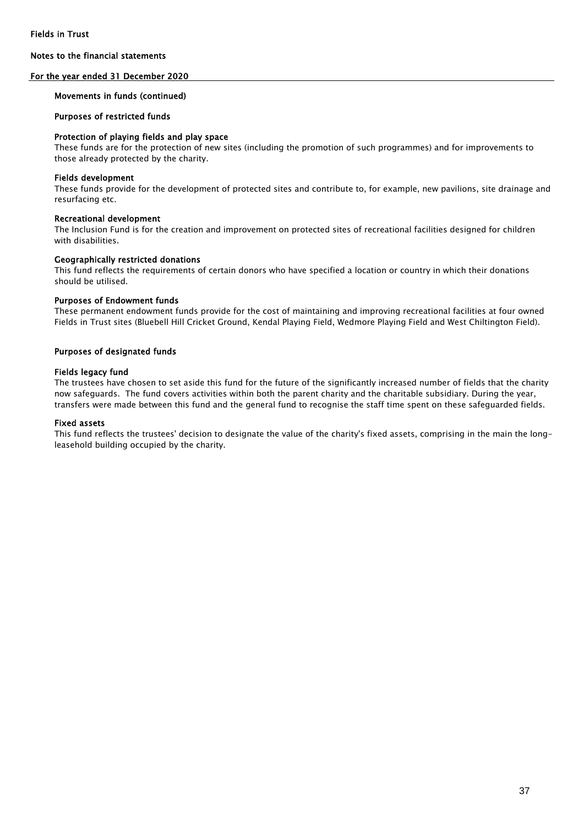#### For the year ended 31 December 2020

#### Movements in funds (continued)

#### Purposes of restricted funds

#### Protection of playing fields and play space

These funds are for the protection of new sites (including the promotion of such programmes) and for improvements to those already protected by the charity.

#### Fields development

These funds provide for the development of protected sites and contribute to, for example, new pavilions, site drainage and resurfacing etc.

#### Recreational development

The Inclusion Fund is for the creation and improvement on protected sites of recreational facilities designed for children with disabilities.

#### Geographically restricted donations

This fund reflects the requirements of certain donors who have specified a location or country in which their donations should be utilised.

#### Purposes of Endowment funds

These permanent endowment funds provide for the cost of maintaining and improving recreational facilities at four owned Fields in Trust sites (Bluebell Hill Cricket Ground, Kendal Playing Field, Wedmore Playing Field and West Chiltington Field).

#### Purposes of designated funds

#### Fields legacy fund

The trustees have chosen to set aside this fund for the future of the significantly increased number of fields that the charity now safeguards. The fund covers activities within both the parent charity and the charitable subsidiary. During the year, transfers were made between this fund and the general fund to recognise the staff time spent on these safeguarded fields.

#### Fixed assets

This fund reflects the trustees' decision to designate the value of the charity's fixed assets, comprising in the main the longleasehold building occupied by the charity.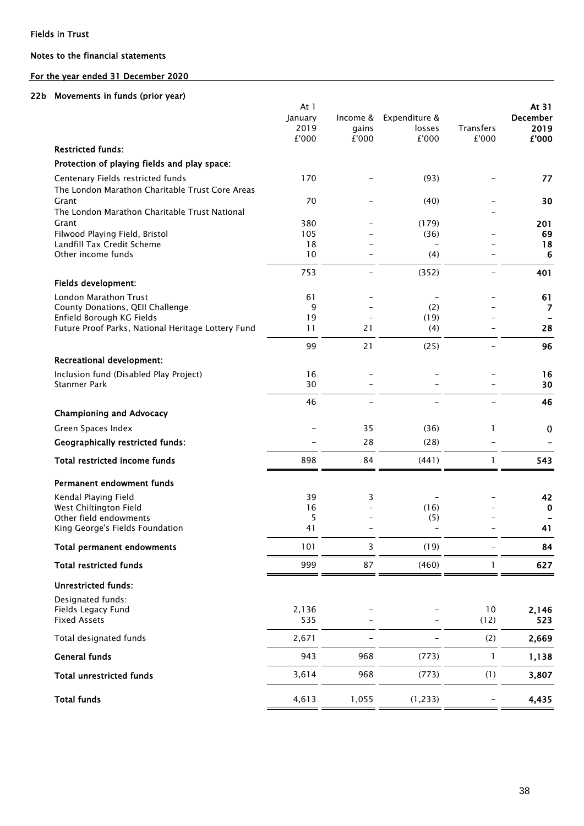### Notes to the financial statements

# For the year ended 31 December 2020

#### 22b Movements in funds (prior year)

|                                                                                      | At $1$<br>January<br>2019 | Income &<br>gains | Expenditure &<br>losses | <b>Transfers</b> | At 31<br>December<br>2019 |
|--------------------------------------------------------------------------------------|---------------------------|-------------------|-------------------------|------------------|---------------------------|
| <b>Restricted funds:</b>                                                             | £'000                     | £'000             | £'000                   | £'000            | £'000                     |
| Protection of playing fields and play space:                                         |                           |                   |                         |                  |                           |
|                                                                                      |                           |                   |                         |                  |                           |
| Centenary Fields restricted funds<br>The London Marathon Charitable Trust Core Areas | 170                       |                   | (93)                    |                  | 77                        |
| Grant<br>The London Marathon Charitable Trust National                               | 70                        |                   | (40)                    |                  | 30                        |
| Grant                                                                                | 380                       |                   | (179)                   |                  | 201                       |
| Filwood Playing Field, Bristol                                                       | 105                       |                   | (36)                    |                  | 69                        |
| Landfill Tax Credit Scheme                                                           | 18                        |                   |                         |                  | 18                        |
| Other income funds                                                                   | 10                        |                   | (4)                     |                  | 6                         |
|                                                                                      | 753                       |                   | (352)                   |                  | 401                       |
| Fields development:                                                                  |                           |                   |                         |                  |                           |
| London Marathon Trust<br>County Donations, QEII Challenge                            | 61<br>9                   |                   | (2)                     |                  | 61<br>7                   |
| Enfield Borough KG Fields                                                            | 19                        |                   | (19)                    |                  |                           |
| Future Proof Parks, National Heritage Lottery Fund                                   | 11                        | 21                | (4)                     |                  | 28                        |
|                                                                                      | 99                        | 21                | (25)                    |                  | 96                        |
| <b>Recreational development:</b>                                                     |                           |                   |                         |                  |                           |
| Inclusion fund (Disabled Play Project)<br><b>Stanmer Park</b>                        | 16<br>30                  |                   |                         |                  | 16<br>30                  |
|                                                                                      | 46                        |                   |                         |                  | 46                        |
| <b>Championing and Advocacy</b>                                                      |                           |                   |                         |                  |                           |
| Green Spaces Index                                                                   |                           | 35                | (36)                    | 1                | $\boldsymbol{0}$          |
| <b>Geographically restricted funds:</b>                                              |                           | 28                | (28)                    |                  |                           |
| Total restricted income funds                                                        | 898                       | 84                | (441)                   | $\mathbf{1}$     | 543                       |
| Permanent endowment funds                                                            |                           |                   |                         |                  |                           |
| Kendal Playing Field                                                                 | 39                        | 3                 |                         |                  | 42                        |
| West Chiltington Field                                                               | 16                        |                   | (16)                    |                  | $\mathbf 0$               |
| Other field endowments                                                               | 5                         |                   | (5)                     |                  |                           |
| King George's Fields Foundation                                                      | 41                        |                   |                         |                  | 41                        |
| <b>Total permanent endowments</b>                                                    | 101                       | 3                 | (19)                    |                  | 84                        |
| <b>Total restricted funds</b>                                                        | 999                       | 87                | (460)                   | 1                | 627                       |
| <b>Unrestricted funds:</b>                                                           |                           |                   |                         |                  |                           |
| Designated funds:                                                                    |                           |                   |                         |                  |                           |
| Fields Legacy Fund<br><b>Fixed Assets</b>                                            | 2,136<br>535              |                   |                         | 10<br>(12)       | 2,146<br>523              |
| Total designated funds                                                               | 2,671                     |                   |                         | (2)              | 2,669                     |
| <b>General funds</b>                                                                 | 943                       | 968               | (773)                   | $\mathbf{1}$     | 1,138                     |
| <b>Total unrestricted funds</b>                                                      | 3,614                     | 968               | (773)                   | (1)              | 3,807                     |
| <b>Total funds</b>                                                                   | 4,613                     | 1,055             | (1, 233)                |                  | 4,435                     |
|                                                                                      |                           |                   |                         |                  |                           |